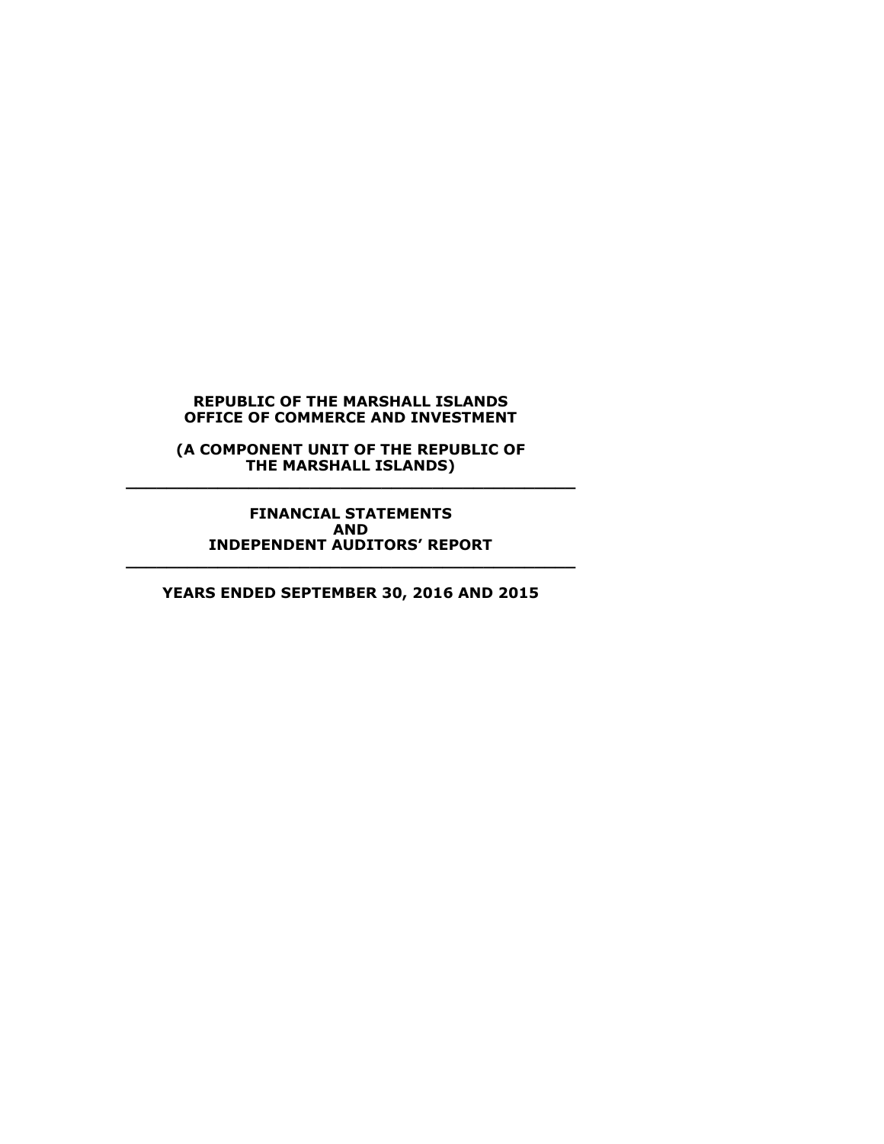**(A COMPONENT UNIT OF THE REPUBLIC OF THE MARSHALL ISLANDS) \_\_\_\_\_\_\_\_\_\_\_\_\_\_\_\_\_\_\_\_\_\_\_\_\_\_\_\_\_\_\_\_\_\_\_\_\_\_\_\_\_\_\_\_**

**FINANCIAL STATEMENTS AND INDEPENDENT AUDITORS' REPORT \_\_\_\_\_\_\_\_\_\_\_\_\_\_\_\_\_\_\_\_\_\_\_\_\_\_\_\_\_\_\_\_\_\_\_\_\_\_\_\_\_\_\_\_**

**YEARS ENDED SEPTEMBER 30, 2016 AND 2015**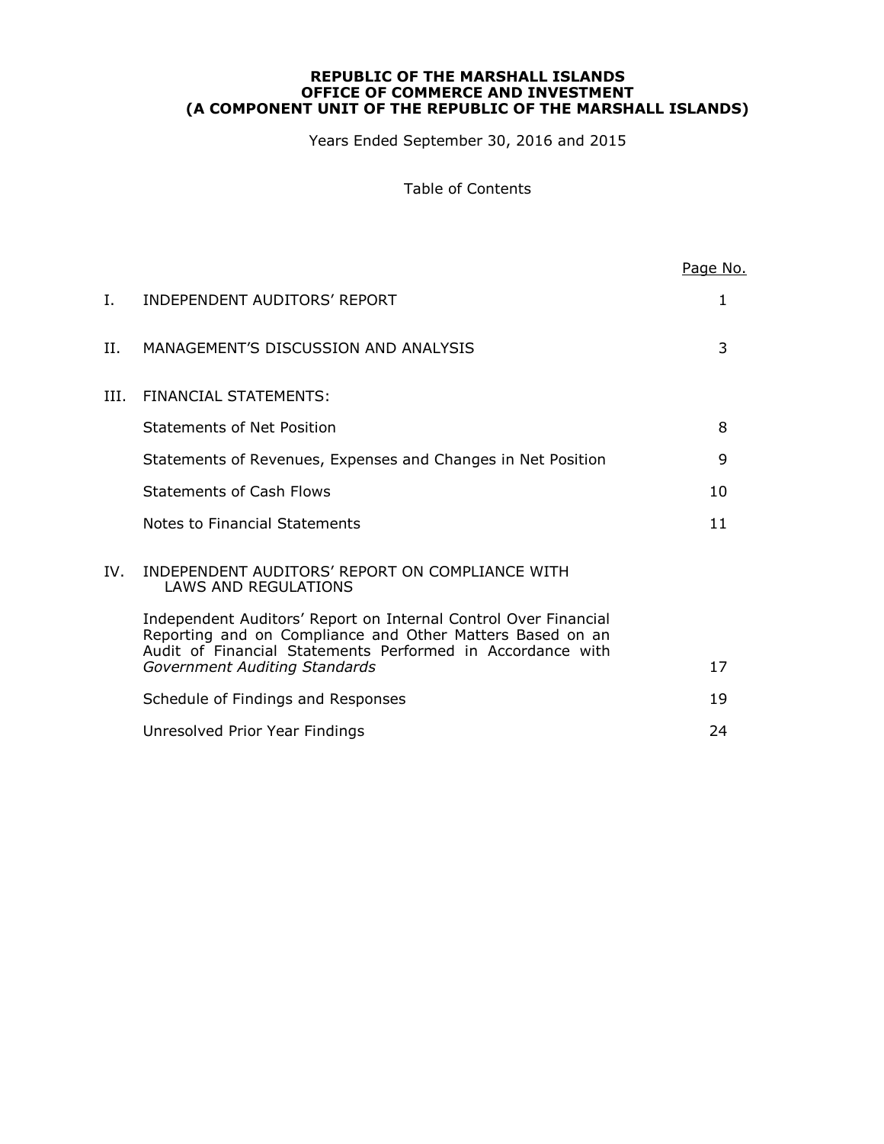#### **REPUBLIC OF THE MARSHALL ISLANDS OFFICE OF COMMERCE AND INVESTMENT (A COMPONENT UNIT OF THE REPUBLIC OF THE MARSHALL ISLANDS)**

Years Ended September 30, 2016 and 2015

Table of Contents

|      |                                                                                                                                                                                            | Page No. |
|------|--------------------------------------------------------------------------------------------------------------------------------------------------------------------------------------------|----------|
| I.   | INDEPENDENT AUDITORS' REPORT                                                                                                                                                               | 1        |
| H.   | MANAGEMENT'S DISCUSSION AND ANALYSIS                                                                                                                                                       | 3        |
| III. | FINANCIAL STATEMENTS:                                                                                                                                                                      |          |
|      | Statements of Net Position                                                                                                                                                                 | 8        |
|      | Statements of Revenues, Expenses and Changes in Net Position                                                                                                                               | 9        |
|      | <b>Statements of Cash Flows</b>                                                                                                                                                            | 10       |
|      | Notes to Financial Statements                                                                                                                                                              | 11       |
| IV.  | INDEPENDENT AUDITORS' REPORT ON COMPLIANCE WITH<br>LAWS AND REGULATIONS                                                                                                                    |          |
|      | Independent Auditors' Report on Internal Control Over Financial<br>Reporting and on Compliance and Other Matters Based on an<br>Audit of Financial Statements Performed in Accordance with |          |
|      | Government Auditing Standards                                                                                                                                                              | 17       |
|      | Schedule of Findings and Responses                                                                                                                                                         | 19       |
|      | Unresolved Prior Year Findings                                                                                                                                                             | 24       |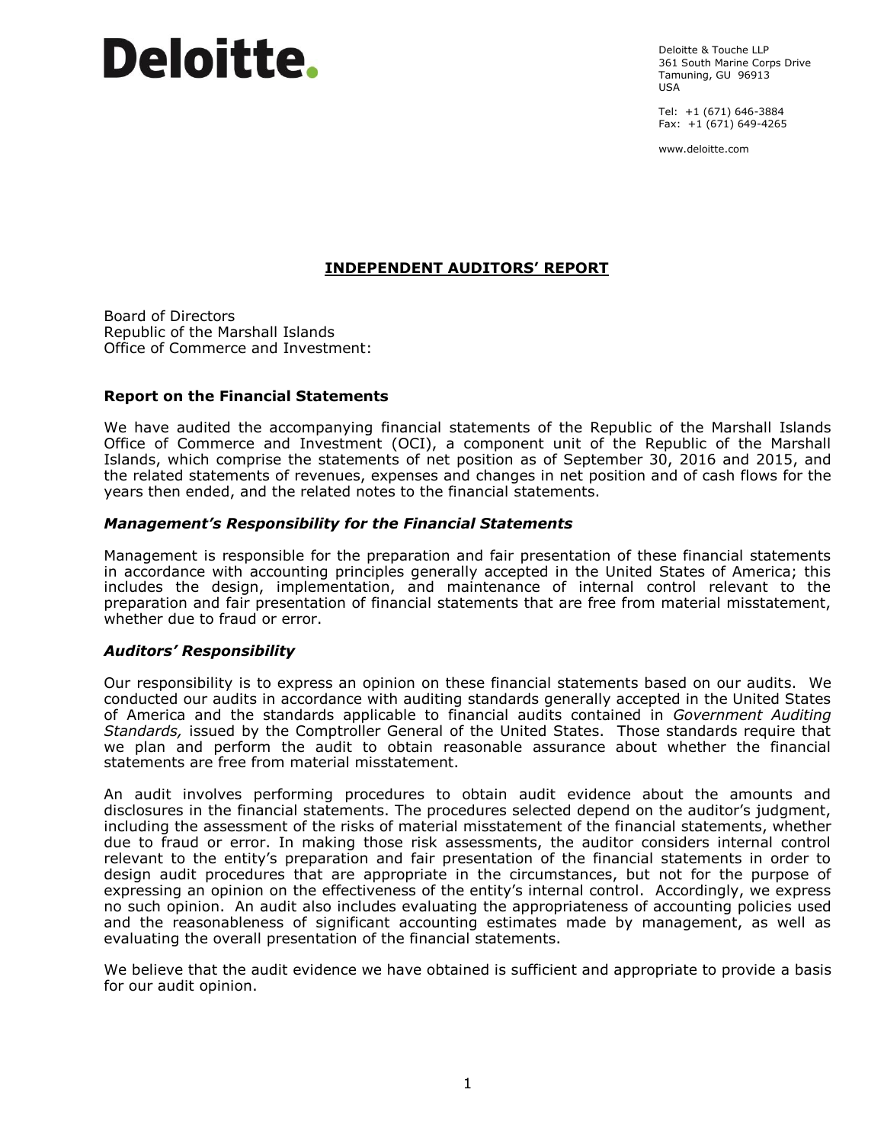# **Deloitte.**

Deloitte & Touche LLP 361 South Marine Corps Drive Tamuning, GU 96913 USA

Tel: +1 (671) 646-3884 Fax: +1 (671) 649-4265

www.deloitte.com

# **INDEPENDENT AUDITORS' REPORT**

Board of Directors Republic of the Marshall Islands Office of Commerce and Investment:

#### **Report on the Financial Statements**

We have audited the accompanying financial statements of the Republic of the Marshall Islands Office of Commerce and Investment (OCI), a component unit of the Republic of the Marshall Islands, which comprise the statements of net position as of September 30, 2016 and 2015, and the related statements of revenues, expenses and changes in net position and of cash flows for the years then ended, and the related notes to the financial statements.

#### *Management's Responsibility for the Financial Statements*

Management is responsible for the preparation and fair presentation of these financial statements in accordance with accounting principles generally accepted in the United States of America; this includes the design, implementation, and maintenance of internal control relevant to the preparation and fair presentation of financial statements that are free from material misstatement, whether due to fraud or error.

#### *Auditors' Responsibility*

Our responsibility is to express an opinion on these financial statements based on our audits. We conducted our audits in accordance with auditing standards generally accepted in the United States of America and the standards applicable to financial audits contained in *Government Auditing Standards,* issued by the Comptroller General of the United States. Those standards require that we plan and perform the audit to obtain reasonable assurance about whether the financial statements are free from material misstatement.

An audit involves performing procedures to obtain audit evidence about the amounts and disclosures in the financial statements. The procedures selected depend on the auditor's judgment, including the assessment of the risks of material misstatement of the financial statements, whether due to fraud or error. In making those risk assessments, the auditor considers internal control relevant to the entity's preparation and fair presentation of the financial statements in order to design audit procedures that are appropriate in the circumstances, but not for the purpose of expressing an opinion on the effectiveness of the entity's internal control. Accordingly, we express no such opinion. An audit also includes evaluating the appropriateness of accounting policies used and the reasonableness of significant accounting estimates made by management, as well as evaluating the overall presentation of the financial statements.

We believe that the audit evidence we have obtained is sufficient and appropriate to provide a basis for our audit opinion.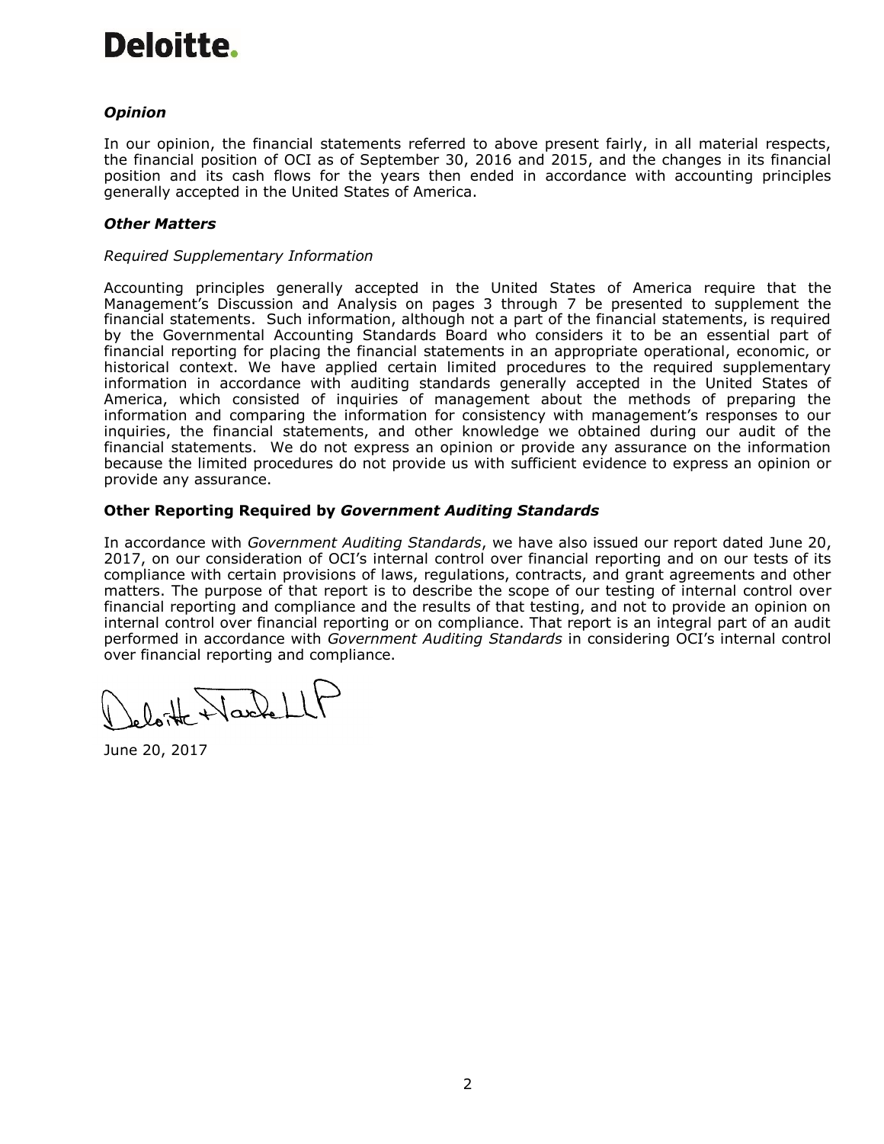# **Deloitte.**

# *Opinion*

In our opinion, the financial statements referred to above present fairly, in all material respects, the financial position of OCI as of September 30, 2016 and 2015, and the changes in its financial position and its cash flows for the years then ended in accordance with accounting principles generally accepted in the United States of America.

# *Other Matters*

#### *Required Supplementary Information*

Accounting principles generally accepted in the United States of America require that the Management's Discussion and Analysis on pages 3 through 7 be presented to supplement the financial statements. Such information, although not a part of the financial statements, is required by the Governmental Accounting Standards Board who considers it to be an essential part of financial reporting for placing the financial statements in an appropriate operational, economic, or historical context. We have applied certain limited procedures to the required supplementary information in accordance with auditing standards generally accepted in the United States of America, which consisted of inquiries of management about the methods of preparing the information and comparing the information for consistency with management's responses to our inquiries, the financial statements, and other knowledge we obtained during our audit of the financial statements. We do not express an opinion or provide any assurance on the information because the limited procedures do not provide us with sufficient evidence to express an opinion or provide any assurance.

# **Other Reporting Required by** *Government Auditing Standards*

In accordance with *Government Auditing Standards*, we have also issued our report dated June 20, 2017, on our consideration of OCI's internal control over financial reporting and on our tests of its compliance with certain provisions of laws, regulations, contracts, and grant agreements and other matters. The purpose of that report is to describe the scope of our testing of internal control over financial reporting and compliance and the results of that testing, and not to provide an opinion on internal control over financial reporting or on compliance. That report is an integral part of an audit performed in accordance with *Government Auditing Standards* in considering OCI's internal control over financial reporting and compliance.

lotte Harlell

June 20, 2017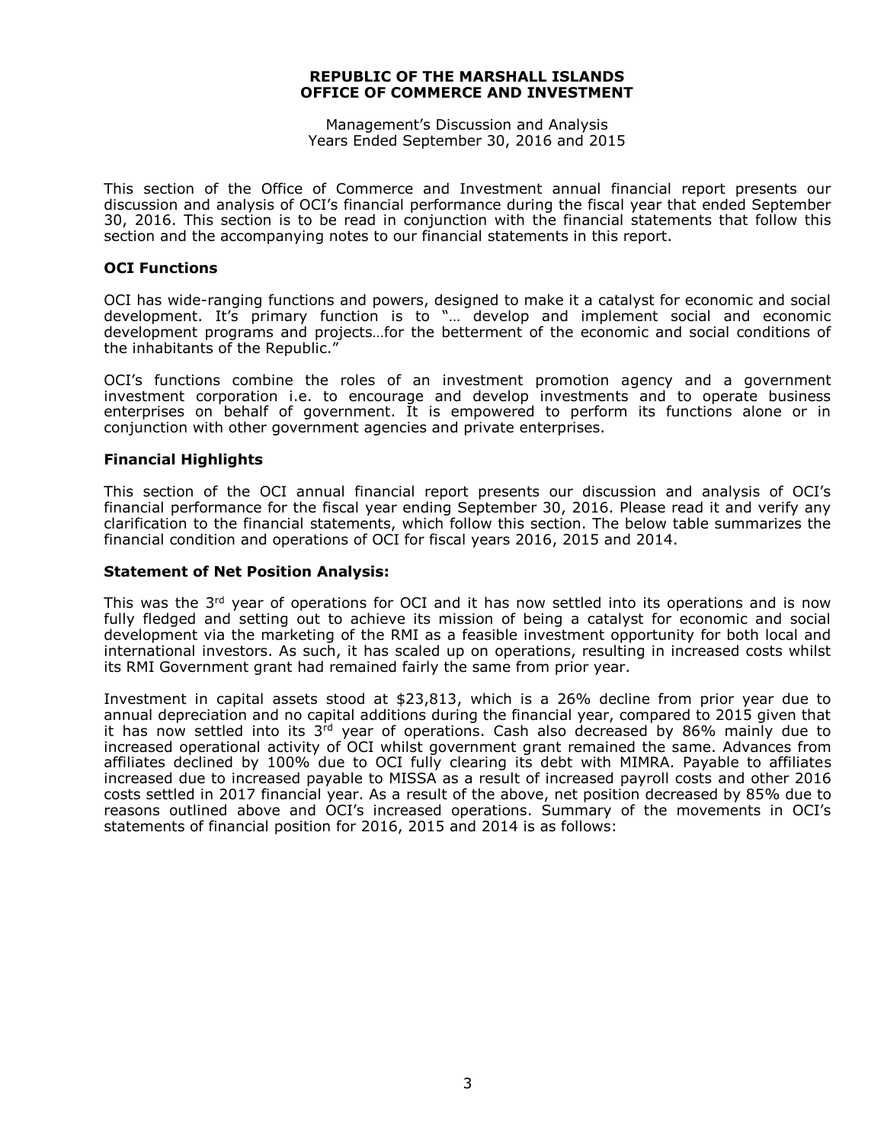Management's Discussion and Analysis Years Ended September 30, 2016 and 2015

This section of the Office of Commerce and Investment annual financial report presents our discussion and analysis of OCI's financial performance during the fiscal year that ended September 30, 2016. This section is to be read in conjunction with the financial statements that follow this section and the accompanying notes to our financial statements in this report.

#### **OCI Functions**

OCI has wide-ranging functions and powers, designed to make it a catalyst for economic and social development. It's primary function is to "… develop and implement social and economic development programs and projects…for the betterment of the economic and social conditions of the inhabitants of the Republic."

OCI's functions combine the roles of an investment promotion agency and a government investment corporation i.e. to encourage and develop investments and to operate business enterprises on behalf of government. It is empowered to perform its functions alone or in conjunction with other government agencies and private enterprises.

#### **Financial Highlights**

This section of the OCI annual financial report presents our discussion and analysis of OCI's financial performance for the fiscal year ending September 30, 2016. Please read it and verify any clarification to the financial statements, which follow this section. The below table summarizes the financial condition and operations of OCI for fiscal years 2016, 2015 and 2014.

#### **Statement of Net Position Analysis:**

This was the 3<sup>rd</sup> year of operations for OCI and it has now settled into its operations and is now fully fledged and setting out to achieve its mission of being a catalyst for economic and social development via the marketing of the RMI as a feasible investment opportunity for both local and international investors. As such, it has scaled up on operations, resulting in increased costs whilst its RMI Government grant had remained fairly the same from prior year.

Investment in capital assets stood at \$23,813, which is a 26% decline from prior year due to annual depreciation and no capital additions during the financial year, compared to 2015 given that it has now settled into its  $3<sup>rd</sup>$  year of operations. Cash also decreased by 86% mainly due to increased operational activity of OCI whilst government grant remained the same. Advances from affiliates declined by 100% due to OCI fully clearing its debt with MIMRA. Payable to affiliates increased due to increased payable to MISSA as a result of increased payroll costs and other 2016 costs settled in 2017 financial year. As a result of the above, net position decreased by 85% due to reasons outlined above and OCI's increased operations. Summary of the movements in OCI's statements of financial position for 2016, 2015 and 2014 is as follows: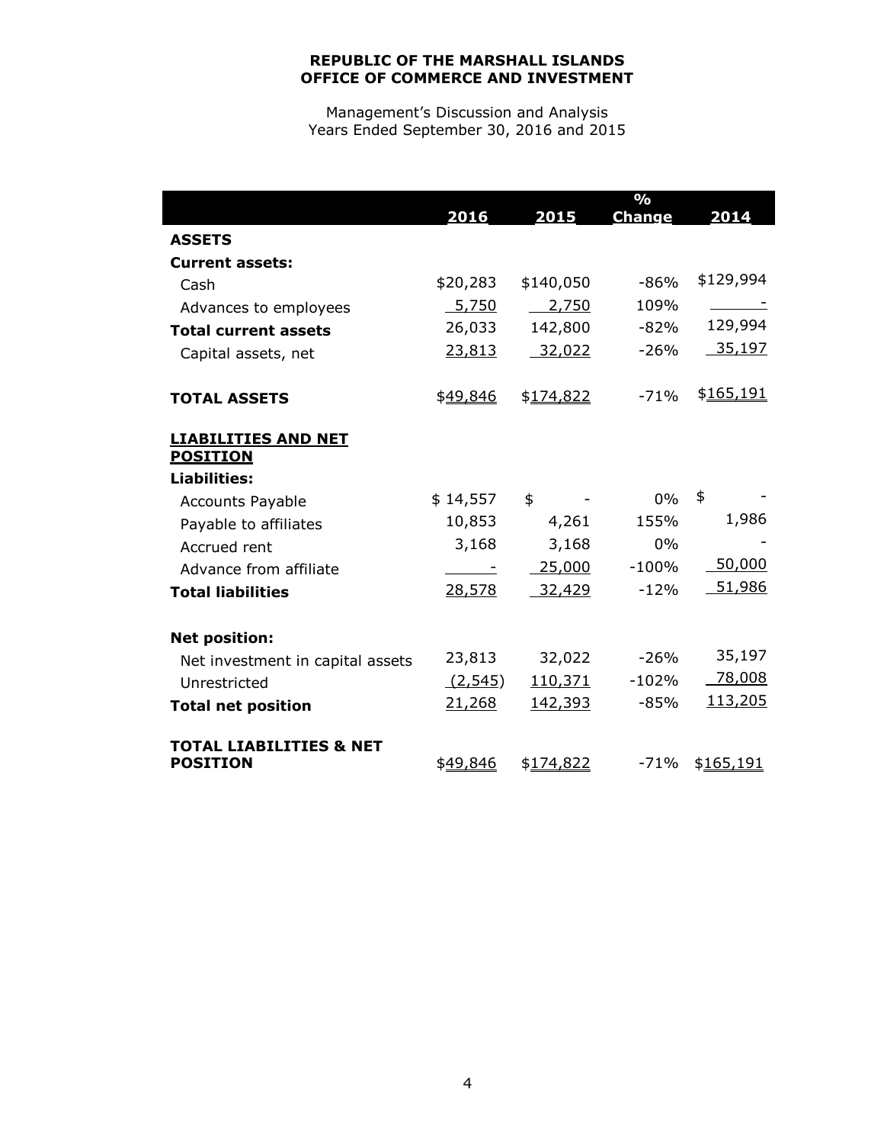Management's Discussion and Analysis Years Ended September 30, 2016 and 2015

|                                               | 2016     | 2015      | $\frac{0}{0}$<br><b>Change</b> | 2014      |
|-----------------------------------------------|----------|-----------|--------------------------------|-----------|
| <b>ASSETS</b>                                 |          |           |                                |           |
| <b>Current assets:</b>                        |          |           |                                |           |
| Cash                                          | \$20,283 | \$140,050 | $-86%$                         | \$129,994 |
| Advances to employees                         | 5,750    | 2,750     | 109%                           |           |
| <b>Total current assets</b>                   | 26,033   | 142,800   | $-82%$                         | 129,994   |
| Capital assets, net                           | 23,813   | $-32,022$ | $-26%$                         | 35,197    |
| <b>TOTAL ASSETS</b>                           | \$49,846 | \$174,822 | $-71%$                         | \$165,191 |
| <b>LIABILITIES AND NET</b><br><b>POSITION</b> |          |           |                                |           |
| <b>Liabilities:</b>                           |          |           |                                |           |
| <b>Accounts Payable</b>                       | \$14,557 | \$        | $0\%$                          | \$        |
| Payable to affiliates                         | 10,853   | 4,261     | 155%                           | 1,986     |
| Accrued rent                                  | 3,168    | 3,168     | $0\%$                          |           |
| Advance from affiliate                        |          | 25,000    | $-100%$                        | 50,000    |
| <b>Total liabilities</b>                      | 28,578   | 32,429    | $-12%$                         | 51,986    |
| <b>Net position:</b>                          |          |           |                                |           |
| Net investment in capital assets              | 23,813   | 32,022    | $-26%$                         | 35,197    |
| Unrestricted                                  | (2, 545) | 110,371   | $-102%$                        | 78,008    |
| <b>Total net position</b>                     | 21,268   | 142,393   | $-85%$                         | 113,205   |
| <b>TOTAL LIABILITIES &amp; NET</b>            |          |           |                                |           |
| <b>POSITION</b>                               | \$49,846 | \$174,822 | $-71%$                         | \$165,191 |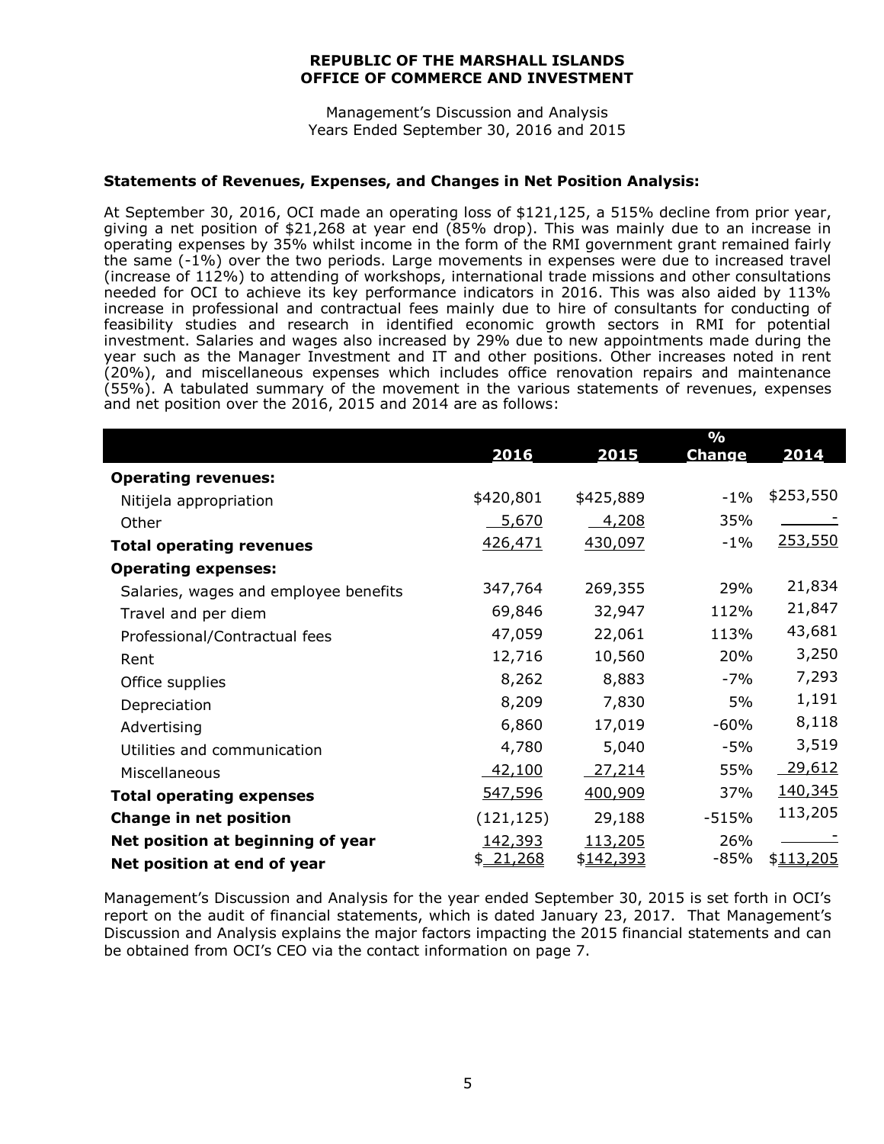Management's Discussion and Analysis Years Ended September 30, 2016 and 2015

#### **Statements of Revenues, Expenses, and Changes in Net Position Analysis:**

At September 30, 2016, OCI made an operating loss of \$121,125, a 515% decline from prior year, giving a net position of \$21,268 at year end (85% drop). This was mainly due to an increase in operating expenses by 35% whilst income in the form of the RMI government grant remained fairly the same (-1%) over the two periods. Large movements in expenses were due to increased travel (increase of 112%) to attending of workshops, international trade missions and other consultations needed for OCI to achieve its key performance indicators in 2016. This was also aided by 113% increase in professional and contractual fees mainly due to hire of consultants for conducting of feasibility studies and research in identified economic growth sectors in RMI for potential investment. Salaries and wages also increased by 29% due to new appointments made during the year such as the Manager Investment and IT and other positions. Other increases noted in rent (20%), and miscellaneous expenses which includes office renovation repairs and maintenance (55%). A tabulated summary of the movement in the various statements of revenues, expenses and net position over the 2016, 2015 and 2014 are as follows:

|                                       |            |           | $\frac{0}{0}$ |                |
|---------------------------------------|------------|-----------|---------------|----------------|
|                                       | 2016       | 2015      | <b>Change</b> | 2014           |
| <b>Operating revenues:</b>            |            |           |               |                |
| Nitijela appropriation                | \$420,801  | \$425,889 | $-1\%$        | \$253,550      |
| Other                                 | 5,670      | 4,208     | 35%           |                |
| <b>Total operating revenues</b>       | 426,471    | 430,097   | $-1\%$        | <u>253,550</u> |
| <b>Operating expenses:</b>            |            |           |               |                |
| Salaries, wages and employee benefits | 347,764    | 269,355   | 29%           | 21,834         |
| Travel and per diem                   | 69,846     | 32,947    | 112%          | 21,847         |
| Professional/Contractual fees         | 47,059     | 22,061    | 113%          | 43,681         |
| Rent                                  | 12,716     | 10,560    | 20%           | 3,250          |
| Office supplies                       | 8,262      | 8,883     | $-7%$         | 7,293          |
| Depreciation                          | 8,209      | 7,830     | 5%            | 1,191          |
| Advertising                           | 6,860      | 17,019    | $-60%$        | 8,118          |
| Utilities and communication           | 4,780      | 5,040     | $-5%$         | 3,519          |
| Miscellaneous                         | 42,100     | 27,214    | 55%           | <u>29,612</u>  |
| <b>Total operating expenses</b>       | 547,596    | 400,909   | 37%           | <u>140,345</u> |
| <b>Change in net position</b>         | (121, 125) | 29,188    | $-515%$       | 113,205        |
| Net position at beginning of year     | 142,393    | 113,205   | 26%           |                |
| Net position at end of year           | \$21,268   | \$142,393 | $-85%$        | \$113,205      |

Management's Discussion and Analysis for the year ended September 30, 2015 is set forth in OCI's report on the audit of financial statements, which is dated January 23, 2017. That Management's Discussion and Analysis explains the major factors impacting the 2015 financial statements and can be obtained from OCI's CEO via the contact information on page 7.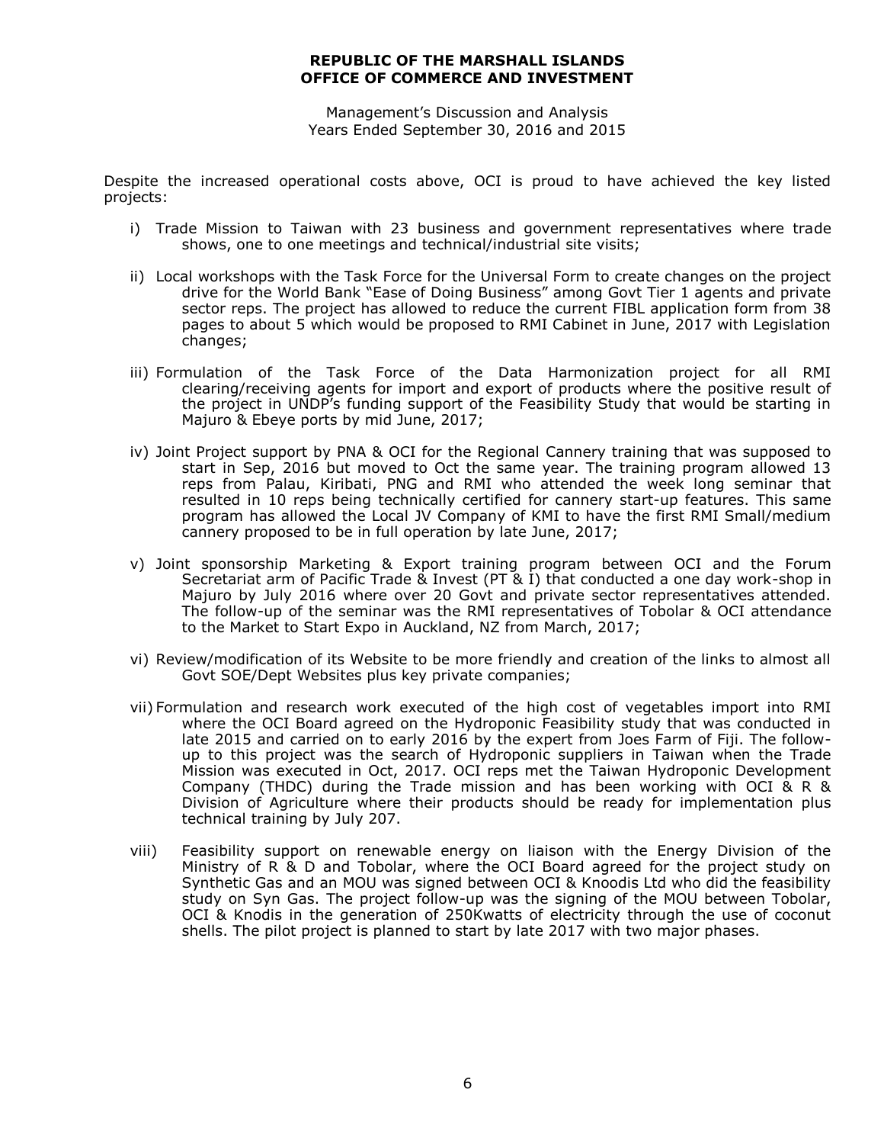Management's Discussion and Analysis Years Ended September 30, 2016 and 2015

Despite the increased operational costs above, OCI is proud to have achieved the key listed projects:

- i) Trade Mission to Taiwan with 23 business and government representatives where trade shows, one to one meetings and technical/industrial site visits;
- ii) Local workshops with the Task Force for the Universal Form to create changes on the project drive for the World Bank "Ease of Doing Business" among Govt Tier 1 agents and private sector reps. The project has allowed to reduce the current FIBL application form from 38 pages to about 5 which would be proposed to RMI Cabinet in June, 2017 with Legislation changes;
- iii) Formulation of the Task Force of the Data Harmonization project for all RMI clearing/receiving agents for import and export of products where the positive result of the project in UNDP's funding support of the Feasibility Study that would be starting in Majuro & Ebeye ports by mid June, 2017;
- iv) Joint Project support by PNA & OCI for the Regional Cannery training that was supposed to start in Sep, 2016 but moved to Oct the same year. The training program allowed 13 reps from Palau, Kiribati, PNG and RMI who attended the week long seminar that resulted in 10 reps being technically certified for cannery start-up features. This same program has allowed the Local JV Company of KMI to have the first RMI Small/medium cannery proposed to be in full operation by late June, 2017;
- v) Joint sponsorship Marketing & Export training program between OCI and the Forum Secretariat arm of Pacific Trade & Invest (PT & I) that conducted a one day work-shop in Majuro by July 2016 where over 20 Govt and private sector representatives attended. The follow-up of the seminar was the RMI representatives of Tobolar & OCI attendance to the Market to Start Expo in Auckland, NZ from March, 2017;
- vi) Review/modification of its Website to be more friendly and creation of the links to almost all Govt SOE/Dept Websites plus key private companies;
- vii) Formulation and research work executed of the high cost of vegetables import into RMI where the OCI Board agreed on the Hydroponic Feasibility study that was conducted in late 2015 and carried on to early 2016 by the expert from Joes Farm of Fiji. The followup to this project was the search of Hydroponic suppliers in Taiwan when the Trade Mission was executed in Oct, 2017. OCI reps met the Taiwan Hydroponic Development Company (THDC) during the Trade mission and has been working with OCI & R & Division of Agriculture where their products should be ready for implementation plus technical training by July 207.
- viii) Feasibility support on renewable energy on liaison with the Energy Division of the Ministry of R & D and Tobolar, where the OCI Board agreed for the project study on Synthetic Gas and an MOU was signed between OCI & Knoodis Ltd who did the feasibility study on Syn Gas. The project follow-up was the signing of the MOU between Tobolar, OCI & Knodis in the generation of 250Kwatts of electricity through the use of coconut shells. The pilot project is planned to start by late 2017 with two major phases.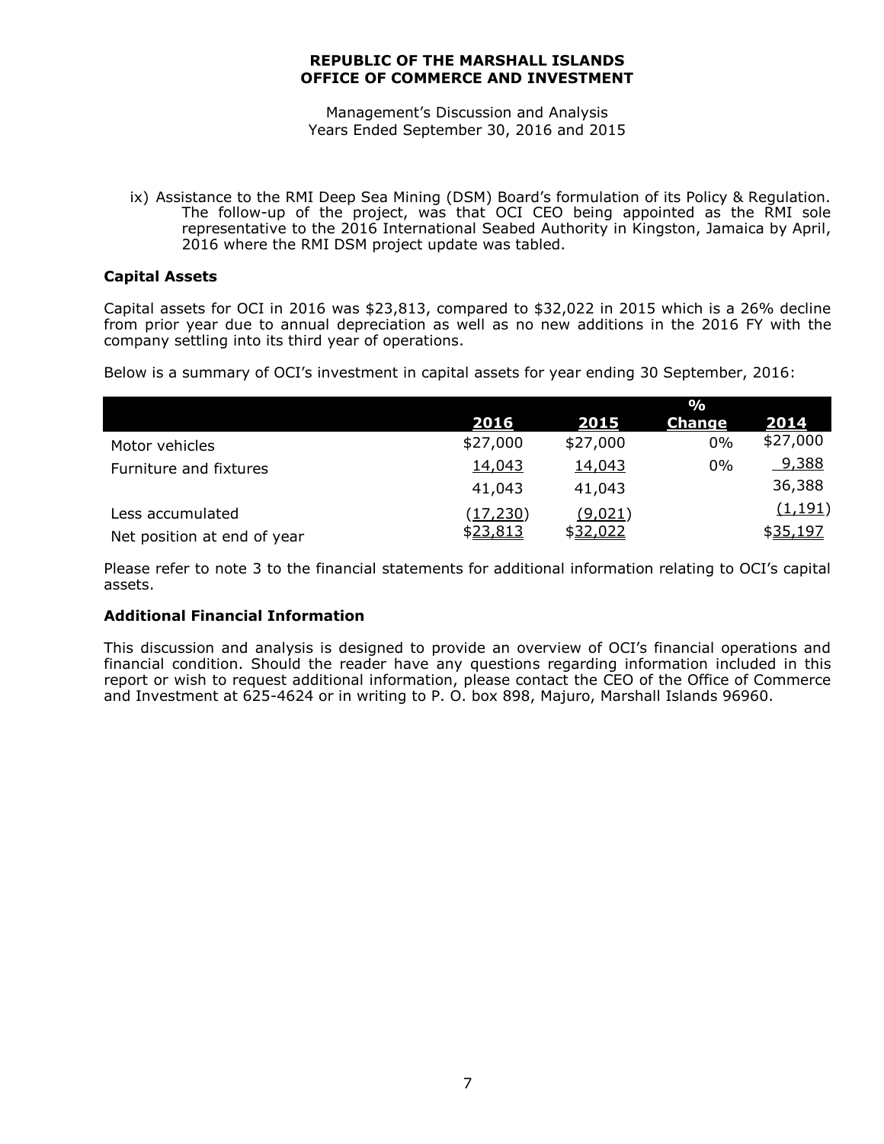Management's Discussion and Analysis Years Ended September 30, 2016 and 2015

ix) Assistance to the RMI Deep Sea Mining (DSM) Board's formulation of its Policy & Regulation. The follow-up of the project, was that OCI CEO being appointed as the RMI sole representative to the 2016 International Seabed Authority in Kingston, Jamaica by April, 2016 where the RMI DSM project update was tabled.

## **Capital Assets**

Capital assets for OCI in 2016 was \$23,813, compared to \$32,022 in 2015 which is a 26% decline from prior year due to annual depreciation as well as no new additions in the 2016 FY with the company settling into its third year of operations.

Below is a summary of OCI's investment in capital assets for year ending 30 September, 2016:

|                             |                 |                | $\frac{0}{0}$ |          |
|-----------------------------|-----------------|----------------|---------------|----------|
|                             | 2016            | 2015           | <b>Change</b> | 2014     |
| Motor vehicles              | \$27,000        | \$27,000       | 0%            | \$27,000 |
| Furniture and fixtures      | 14,043          | 14,043         | $0\%$         | 9,388    |
|                             | 41,043          | 41,043         |               | 36,388   |
| Less accumulated            | <u>(17,230)</u> | <u>(9,021)</u> |               | (1, 191) |
| Net position at end of year | \$23,813        | \$32,022       |               | \$35,197 |

Please refer to note 3 to the financial statements for additional information relating to OCI's capital assets.

# **Additional Financial Information**

This discussion and analysis is designed to provide an overview of OCI's financial operations and financial condition. Should the reader have any questions regarding information included in this report or wish to request additional information, please contact the CEO of the Office of Commerce and Investment at 625-4624 or in writing to P. O. box 898, Majuro, Marshall Islands 96960.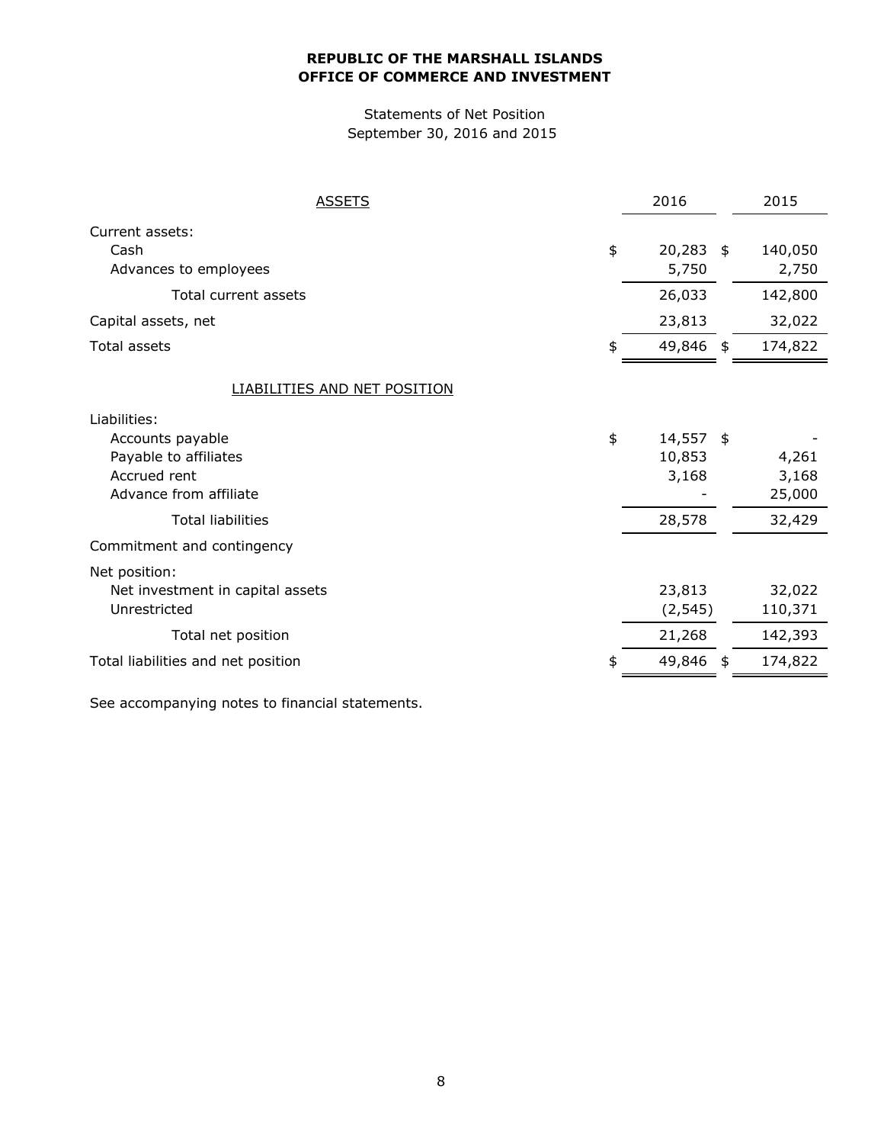# Statements of Net Position September 30, 2016 and 2015

| <b>ASSETS</b>                       | 2016              | 2015    |
|-------------------------------------|-------------------|---------|
| Current assets:                     |                   |         |
| Cash                                | \$<br>$20,283$ \$ | 140,050 |
| Advances to employees               | 5,750             | 2,750   |
| Total current assets                | 26,033            | 142,800 |
| Capital assets, net                 | 23,813            | 32,022  |
| <b>Total assets</b>                 | 49,846 \$         | 174,822 |
| <b>LIABILITIES AND NET POSITION</b> |                   |         |
| Liabilities:                        |                   |         |
| Accounts payable                    | \$<br>14,557 \$   |         |
| Payable to affiliates               | 10,853            | 4,261   |
| Accrued rent                        | 3,168             | 3,168   |
| Advance from affiliate              |                   | 25,000  |
| <b>Total liabilities</b>            | 28,578            | 32,429  |
| Commitment and contingency          |                   |         |
| Net position:                       |                   |         |
| Net investment in capital assets    | 23,813            | 32,022  |
| Unrestricted                        | (2, 545)          | 110,371 |
| Total net position                  | 21,268            | 142,393 |
| Total liabilities and net position  | 49,846 \$         | 174,822 |
|                                     |                   |         |

See accompanying notes to financial statements.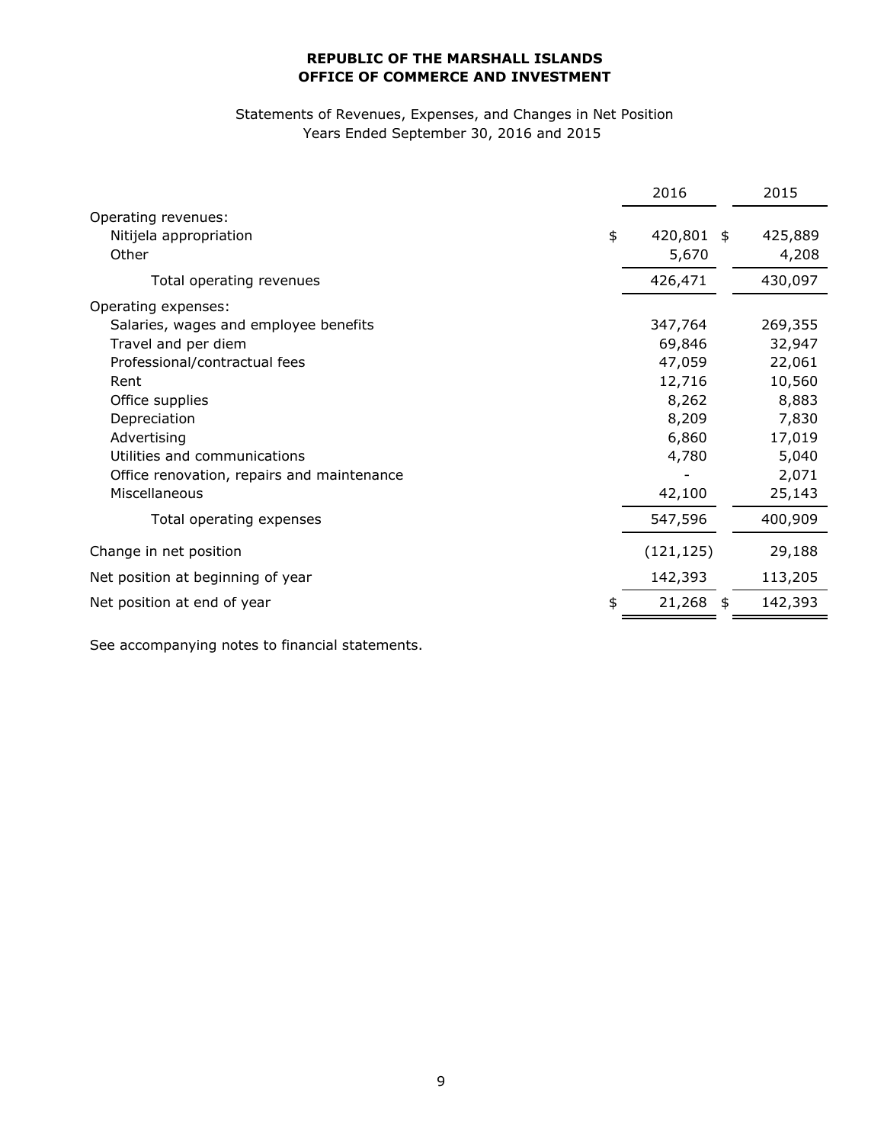# Statements of Revenues, Expenses, and Changes in Net Position Years Ended September 30, 2016 and 2015

|                                            | 2016        | 2015    |
|--------------------------------------------|-------------|---------|
| Operating revenues:                        |             |         |
| \$<br>Nitijela appropriation               | 420,801 \$  | 425,889 |
| Other                                      | 5,670       | 4,208   |
| Total operating revenues                   | 426,471     | 430,097 |
| Operating expenses:                        |             |         |
| Salaries, wages and employee benefits      | 347,764     | 269,355 |
| Travel and per diem                        | 69,846      | 32,947  |
| Professional/contractual fees              | 47,059      | 22,061  |
| Rent                                       | 12,716      | 10,560  |
| Office supplies                            | 8,262       | 8,883   |
| Depreciation                               | 8,209       | 7,830   |
| Advertising                                | 6,860       | 17,019  |
| Utilities and communications               | 4,780       | 5,040   |
| Office renovation, repairs and maintenance |             | 2,071   |
| Miscellaneous                              | 42,100      | 25,143  |
| Total operating expenses                   | 547,596     | 400,909 |
| Change in net position                     | (121, 125)  | 29,188  |
| Net position at beginning of year          | 142,393     | 113,205 |
| Net position at end of year<br>S           | $21,268$ \$ | 142,393 |

See accompanying notes to financial statements.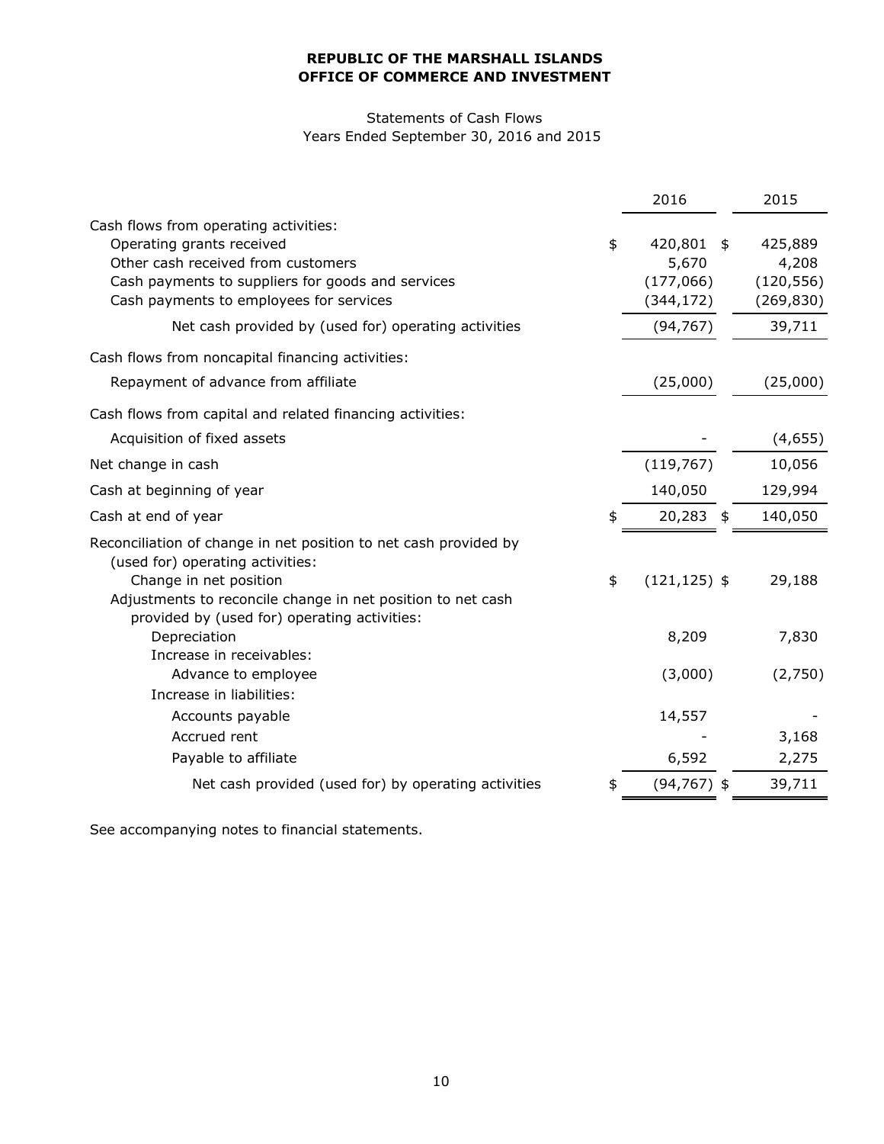# Statements of Cash Flows Years Ended September 30, 2016 and 2015

|                                                                                                             | 2016                  | 2015       |
|-------------------------------------------------------------------------------------------------------------|-----------------------|------------|
| Cash flows from operating activities:<br>Operating grants received                                          | \$<br>420,801         | 425,889    |
| Other cash received from customers                                                                          | \$<br>5,670           | 4,208      |
| Cash payments to suppliers for goods and services                                                           | (177,066)             | (120, 556) |
| Cash payments to employees for services                                                                     | (344, 172)            | (269, 830) |
| Net cash provided by (used for) operating activities                                                        | (94, 767)             | 39,711     |
| Cash flows from noncapital financing activities:                                                            |                       |            |
| Repayment of advance from affiliate                                                                         | (25,000)              | (25,000)   |
| Cash flows from capital and related financing activities:                                                   |                       |            |
| Acquisition of fixed assets                                                                                 |                       | (4,655)    |
| Net change in cash                                                                                          | (119, 767)            | 10,056     |
| Cash at beginning of year                                                                                   | 140,050               | 129,994    |
| Cash at end of year                                                                                         | \$<br>20,283<br>\$    | 140,050    |
| Reconciliation of change in net position to net cash provided by<br>(used for) operating activities:        |                       |            |
| Change in net position                                                                                      | \$<br>$(121, 125)$ \$ | 29,188     |
| Adjustments to reconcile change in net position to net cash<br>provided by (used for) operating activities: |                       |            |
| Depreciation                                                                                                | 8,209                 | 7,830      |
| Increase in receivables:                                                                                    |                       |            |
| Advance to employee                                                                                         | (3,000)               | (2,750)    |
| Increase in liabilities:                                                                                    |                       |            |
| Accounts payable                                                                                            | 14,557                |            |
| Accrued rent                                                                                                |                       | 3,168      |
| Payable to affiliate                                                                                        | 6,592                 | 2,275      |
| Net cash provided (used for) by operating activities                                                        | \$<br>$(94, 767)$ \$  | 39,711     |

See accompanying notes to financial statements.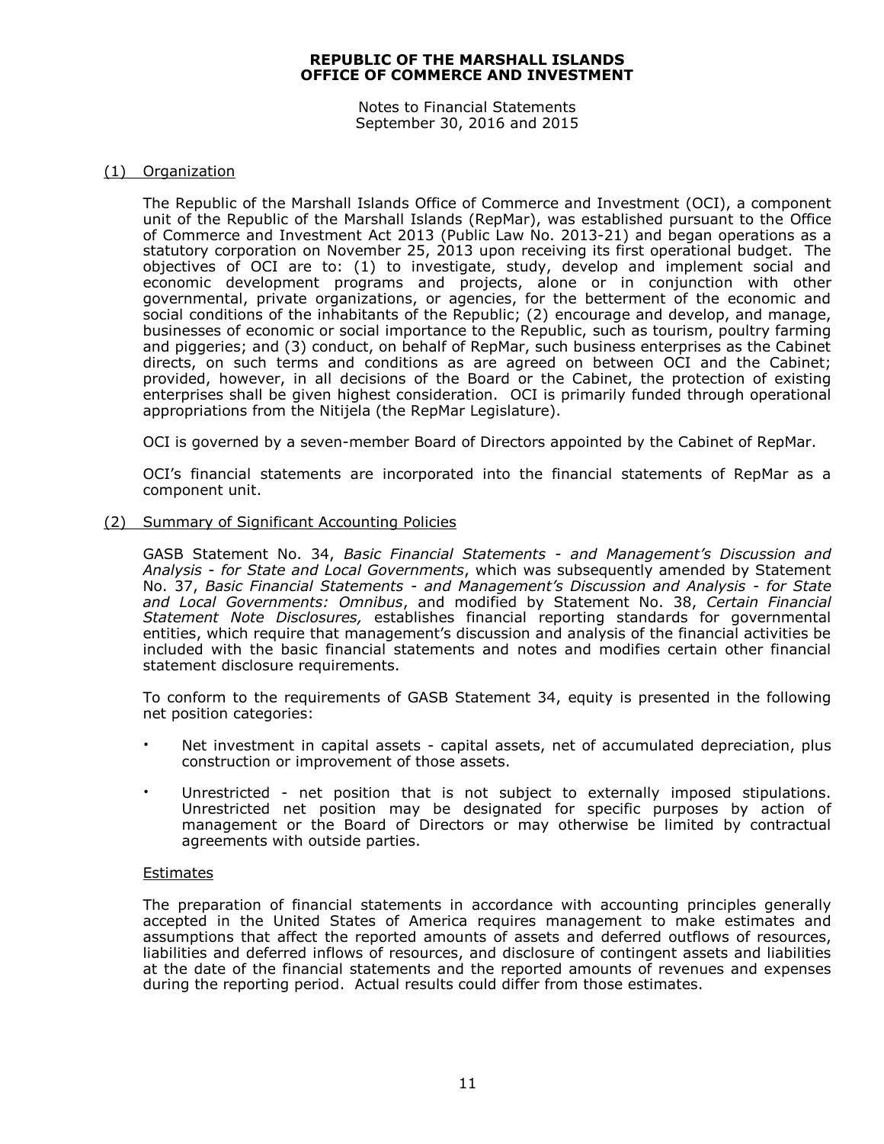Notes to Financial Statements September 30, 2016 and 2015

#### (1) Organization

The Republic of the Marshall Islands Office of Commerce and Investment (OCI), a component unit of the Republic of the Marshall Islands (RepMar), was established pursuant to the Office of Commerce and Investment Act 2013 (Public Law No. 2013-21) and began operations as a statutory corporation on November 25, 2013 upon receiving its first operational budget. The objectives of OCI are to: (1) to investigate, study, develop and implement social and economic development programs and projects, alone or in conjunction with other governmental, private organizations, or agencies, for the betterment of the economic and social conditions of the inhabitants of the Republic; (2) encourage and develop, and manage, businesses of economic or social importance to the Republic, such as tourism, poultry farming and piggeries; and (3) conduct, on behalf of RepMar, such business enterprises as the Cabinet directs, on such terms and conditions as are agreed on between OCI and the Cabinet; provided, however, in all decisions of the Board or the Cabinet, the protection of existing enterprises shall be given highest consideration. OCI is primarily funded through operational appropriations from the Nitijela (the RepMar Legislature).

OCI is governed by a seven-member Board of Directors appointed by the Cabinet of RepMar.

OCI's financial statements are incorporated into the financial statements of RepMar as a component unit.

#### (2) Summary of Significant Accounting Policies

GASB Statement No. 34, *Basic Financial Statements - and Management's Discussion and Analysis - for State and Local Governments*, which was subsequently amended by Statement No. 37, *Basic Financial Statements - and Management's Discussion and Analysis - for State and Local Governments: Omnibus*, and modified by Statement No. 38, *Certain Financial Statement Note Disclosures,* establishes financial reporting standards for governmental entities, which require that management's discussion and analysis of the financial activities be included with the basic financial statements and notes and modifies certain other financial statement disclosure requirements.

To conform to the requirements of GASB Statement 34, equity is presented in the following net position categories:

- Net investment in capital assets capital assets, net of accumulated depreciation, plus construction or improvement of those assets.
- Unrestricted net position that is not subject to externally imposed stipulations. Unrestricted net position may be designated for specific purposes by action of management or the Board of Directors or may otherwise be limited by contractual agreements with outside parties.

#### **Estimates**

The preparation of financial statements in accordance with accounting principles generally accepted in the United States of America requires management to make estimates and assumptions that affect the reported amounts of assets and deferred outflows of resources, liabilities and deferred inflows of resources, and disclosure of contingent assets and liabilities at the date of the financial statements and the reported amounts of revenues and expenses during the reporting period. Actual results could differ from those estimates.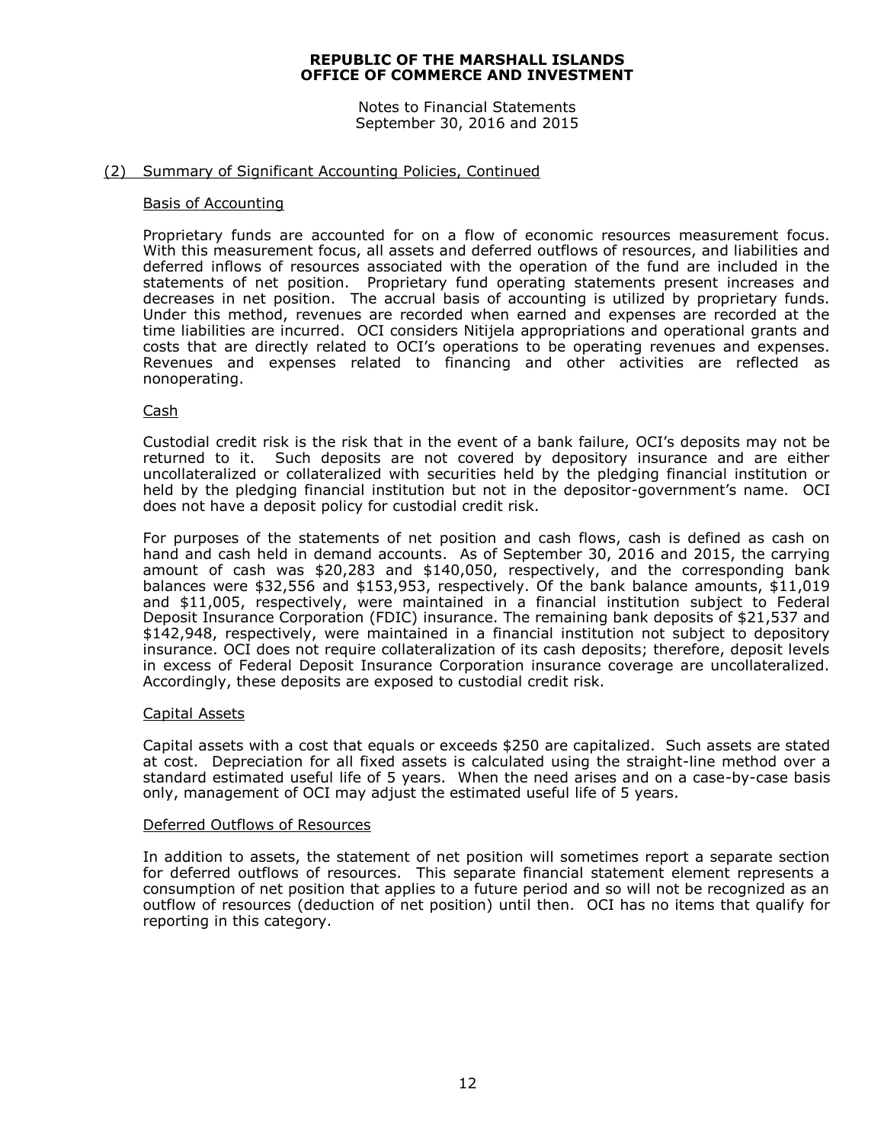Notes to Financial Statements September 30, 2016 and 2015

#### (2) Summary of Significant Accounting Policies, Continued

#### Basis of Accounting

Proprietary funds are accounted for on a flow of economic resources measurement focus. With this measurement focus, all assets and deferred outflows of resources, and liabilities and deferred inflows of resources associated with the operation of the fund are included in the statements of net position. Proprietary fund operating statements present increases and decreases in net position. The accrual basis of accounting is utilized by proprietary funds. Under this method, revenues are recorded when earned and expenses are recorded at the time liabilities are incurred. OCI considers Nitijela appropriations and operational grants and costs that are directly related to OCI's operations to be operating revenues and expenses. Revenues and expenses related to financing and other activities are reflected as nonoperating.

#### Cash

Custodial credit risk is the risk that in the event of a bank failure, OCI's deposits may not be returned to it. Such deposits are not covered by depository insurance and are either uncollateralized or collateralized with securities held by the pledging financial institution or held by the pledging financial institution but not in the depositor-government's name. OCI does not have a deposit policy for custodial credit risk.

For purposes of the statements of net position and cash flows, cash is defined as cash on hand and cash held in demand accounts. As of September 30, 2016 and 2015, the carrying amount of cash was \$20,283 and \$140,050, respectively, and the corresponding bank balances were \$32,556 and \$153,953, respectively. Of the bank balance amounts, \$11,019 and \$11,005, respectively, were maintained in a financial institution subject to Federal Deposit Insurance Corporation (FDIC) insurance. The remaining bank deposits of \$21,537 and \$142,948, respectively, were maintained in a financial institution not subject to depository insurance. OCI does not require collateralization of its cash deposits; therefore, deposit levels in excess of Federal Deposit Insurance Corporation insurance coverage are uncollateralized. Accordingly, these deposits are exposed to custodial credit risk.

#### Capital Assets

Capital assets with a cost that equals or exceeds \$250 are capitalized. Such assets are stated at cost. Depreciation for all fixed assets is calculated using the straight-line method over a standard estimated useful life of 5 years. When the need arises and on a case-by-case basis only, management of OCI may adjust the estimated useful life of 5 years.

#### Deferred Outflows of Resources

In addition to assets, the statement of net position will sometimes report a separate section for deferred outflows of resources. This separate financial statement element represents a consumption of net position that applies to a future period and so will not be recognized as an outflow of resources (deduction of net position) until then. OCI has no items that qualify for reporting in this category.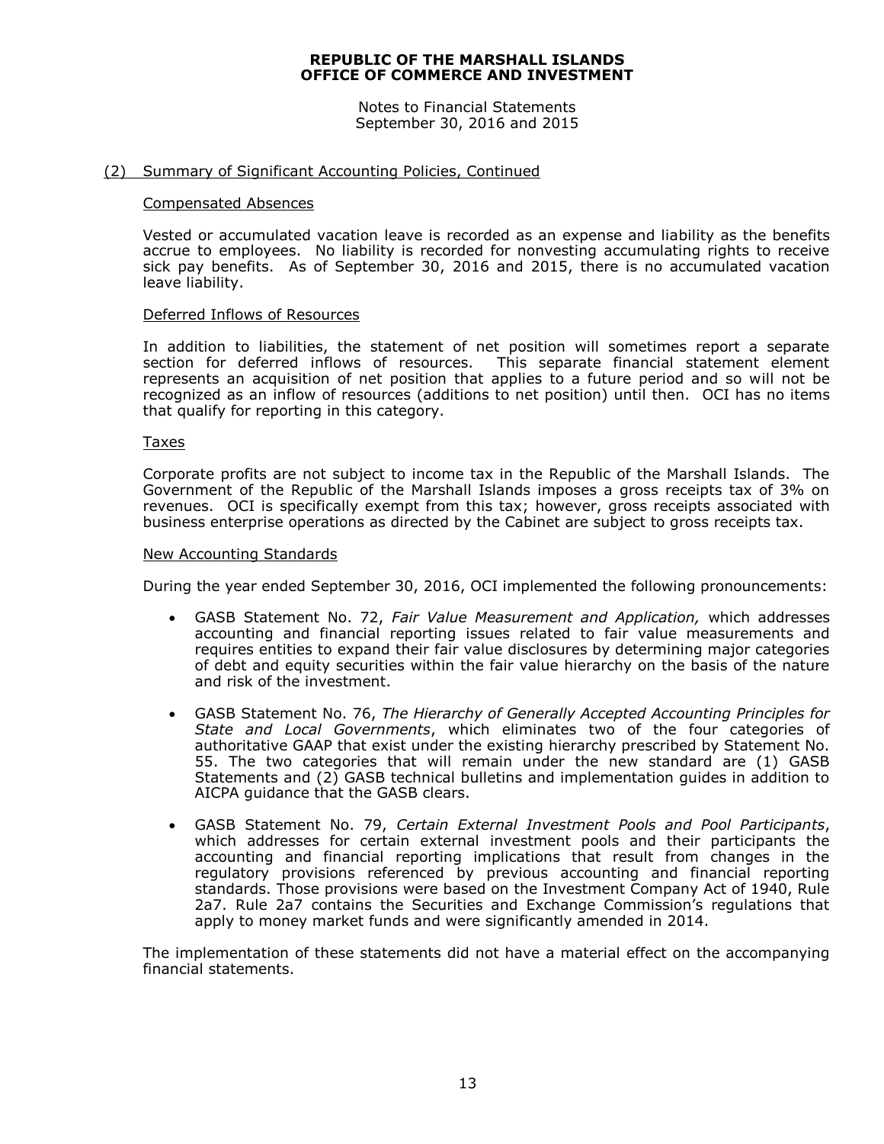Notes to Financial Statements September 30, 2016 and 2015

#### (2) Summary of Significant Accounting Policies, Continued

#### Compensated Absences

Vested or accumulated vacation leave is recorded as an expense and liability as the benefits accrue to employees. No liability is recorded for nonvesting accumulating rights to receive sick pay benefits. As of September 30, 2016 and 2015, there is no accumulated vacation leave liability.

#### Deferred Inflows of Resources

In addition to liabilities, the statement of net position will sometimes report a separate section for deferred inflows of resources. This separate financial statement element represents an acquisition of net position that applies to a future period and so will not be recognized as an inflow of resources (additions to net position) until then. OCI has no items that qualify for reporting in this category.

#### Taxes

Corporate profits are not subject to income tax in the Republic of the Marshall Islands. The Government of the Republic of the Marshall Islands imposes a gross receipts tax of 3% on revenues. OCI is specifically exempt from this tax; however, gross receipts associated with business enterprise operations as directed by the Cabinet are subject to gross receipts tax.

#### New Accounting Standards

During the year ended September 30, 2016, OCI implemented the following pronouncements:

- GASB Statement No. 72, *Fair Value Measurement and Application,* which addresses accounting and financial reporting issues related to fair value measurements and requires entities to expand their fair value disclosures by determining major categories of debt and equity securities within the fair value hierarchy on the basis of the nature and risk of the investment.
- GASB Statement No. 76, *The Hierarchy of Generally Accepted Accounting Principles for State and Local Governments*, which eliminates two of the four categories of authoritative GAAP that exist under the existing hierarchy prescribed by Statement No. 55. The two categories that will remain under the new standard are (1) GASB Statements and (2) GASB technical bulletins and implementation guides in addition to AICPA guidance that the GASB clears.
- GASB Statement No. 79, *Certain External Investment Pools and Pool Participants*, which addresses for certain external investment pools and their participants the accounting and financial reporting implications that result from changes in the regulatory provisions referenced by previous accounting and financial reporting standards. Those provisions were based on the Investment Company Act of 1940, Rule 2a7. Rule 2a7 contains the Securities and Exchange Commission's regulations that apply to money market funds and were significantly amended in 2014.

The implementation of these statements did not have a material effect on the accompanying financial statements.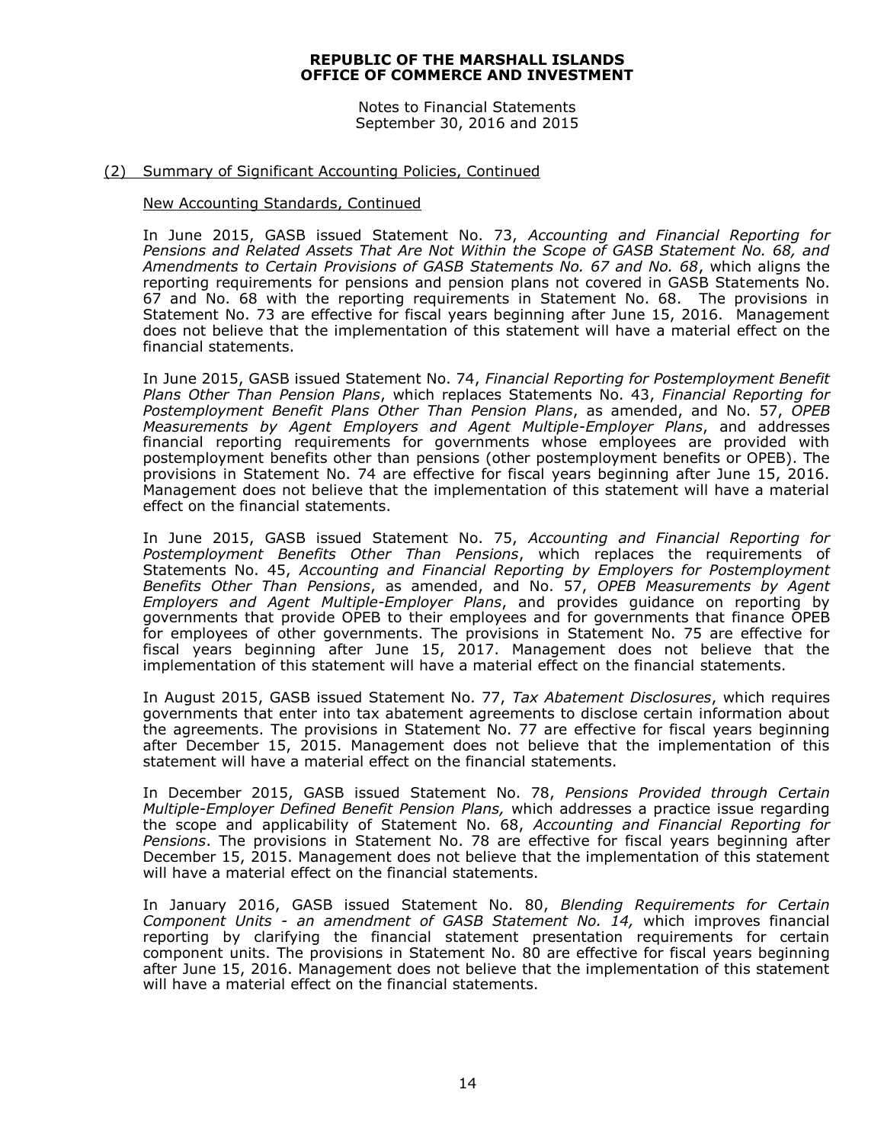Notes to Financial Statements September 30, 2016 and 2015

#### (2) Summary of Significant Accounting Policies, Continued

#### New Accounting Standards, Continued

In June 2015, GASB issued Statement No. 73, *Accounting and Financial Reporting for Pensions and Related Assets That Are Not Within the Scope of GASB Statement No. 68, and Amendments to Certain Provisions of GASB Statements No. 67 and No. 68*, which aligns the reporting requirements for pensions and pension plans not covered in GASB Statements No. 67 and No. 68 with the reporting requirements in Statement No. 68. The provisions in Statement No. 73 are effective for fiscal years beginning after June 15, 2016. Management does not believe that the implementation of this statement will have a material effect on the financial statements.

In June 2015, GASB issued Statement No. 74, *Financial Reporting for Postemployment Benefit Plans Other Than Pension Plans*, which replaces Statements No. 43, *Financial Reporting for Postemployment Benefit Plans Other Than Pension Plans*, as amended, and No. 57, *OPEB Measurements by Agent Employers and Agent Multiple-Employer Plans*, and addresses financial reporting requirements for governments whose employees are provided with postemployment benefits other than pensions (other postemployment benefits or OPEB). The provisions in Statement No. 74 are effective for fiscal years beginning after June 15, 2016. Management does not believe that the implementation of this statement will have a material effect on the financial statements.

In June 2015, GASB issued Statement No. 75, *Accounting and Financial Reporting for Postemployment Benefits Other Than Pensions*, which replaces the requirements of Statements No. 45, *Accounting and Financial Reporting by Employers for Postemployment Benefits Other Than Pensions*, as amended, and No. 57, *OPEB Measurements by Agent Employers and Agent Multiple-Employer Plans*, and provides guidance on reporting by governments that provide OPEB to their employees and for governments that finance OPEB for employees of other governments. The provisions in Statement No. 75 are effective for fiscal years beginning after June 15, 2017. Management does not believe that the implementation of this statement will have a material effect on the financial statements.

In August 2015, GASB issued Statement No. 77, *Tax Abatement Disclosures*, which requires governments that enter into tax abatement agreements to disclose certain information about the agreements. The provisions in Statement No. 77 are effective for fiscal years beginning after December 15, 2015. Management does not believe that the implementation of this statement will have a material effect on the financial statements.

In December 2015, GASB issued Statement No. 78, *Pensions Provided through Certain Multiple-Employer Defined Benefit Pension Plans,* which addresses a practice issue regarding the scope and applicability of Statement No. 68, *Accounting and Financial Reporting for Pensions*. The provisions in Statement No. 78 are effective for fiscal years beginning after December 15, 2015. Management does not believe that the implementation of this statement will have a material effect on the financial statements.

In January 2016, GASB issued Statement No. 80, *Blending Requirements for Certain Component Units - an amendment of GASB Statement No. 14,* which improves financial reporting by clarifying the financial statement presentation requirements for certain component units. The provisions in Statement No. 80 are effective for fiscal years beginning after June 15, 2016. Management does not believe that the implementation of this statement will have a material effect on the financial statements.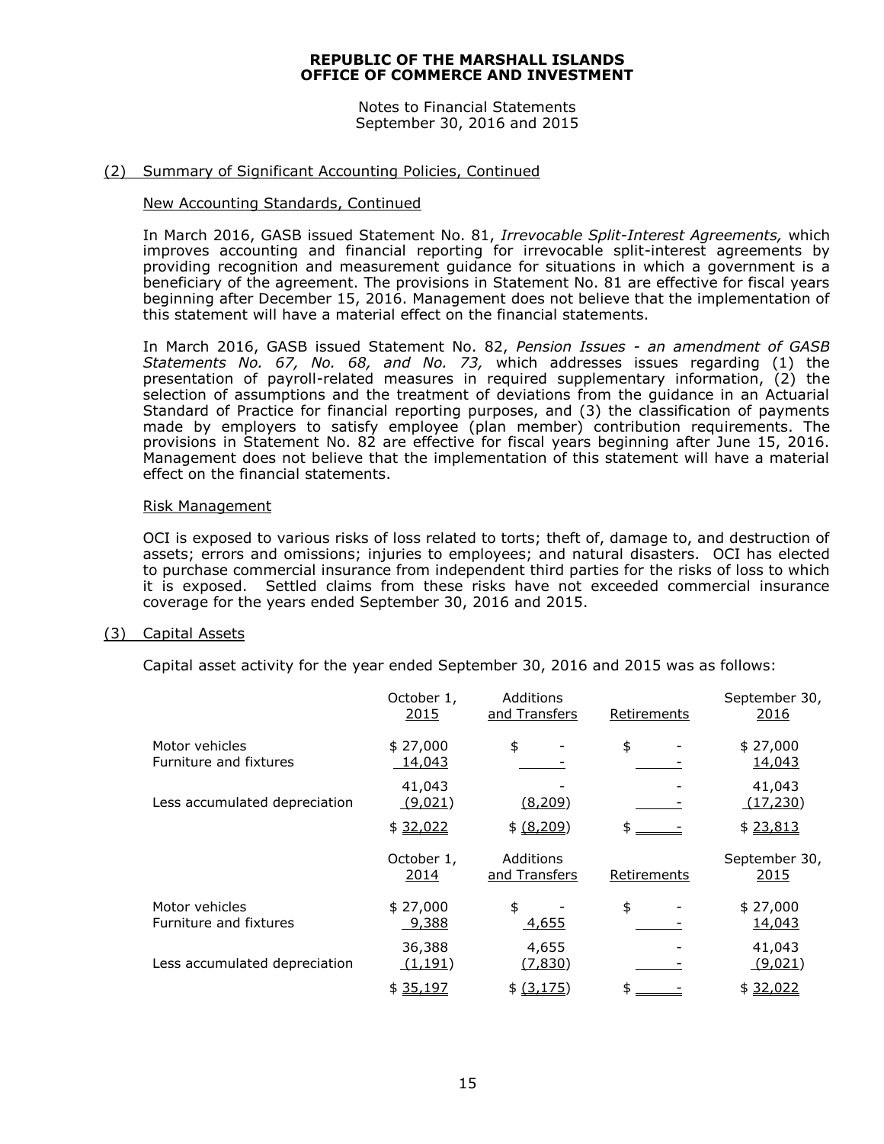Notes to Financial Statements September 30, 2016 and 2015

#### (2) Summary of Significant Accounting Policies, Continued

#### New Accounting Standards, Continued

In March 2016, GASB issued Statement No. 81, *Irrevocable Split-Interest Agreements,* which improves accounting and financial reporting for irrevocable split-interest agreements by providing recognition and measurement guidance for situations in which a government is a beneficiary of the agreement. The provisions in Statement No. 81 are effective for fiscal years beginning after December 15, 2016. Management does not believe that the implementation of this statement will have a material effect on the financial statements.

In March 2016, GASB issued Statement No. 82, *Pension Issues - an amendment of GASB Statements No. 67, No. 68, and No. 73,* which addresses issues regarding (1) the presentation of payroll-related measures in required supplementary information, (2) the selection of assumptions and the treatment of deviations from the guidance in an Actuarial Standard of Practice for financial reporting purposes, and (3) the classification of payments made by employers to satisfy employee (plan member) contribution requirements. The provisions in Statement No. 82 are effective for fiscal years beginning after June 15, 2016. Management does not believe that the implementation of this statement will have a material effect on the financial statements.

#### Risk Management

OCI is exposed to various risks of loss related to torts; theft of, damage to, and destruction of assets; errors and omissions; injuries to employees; and natural disasters. OCI has elected to purchase commercial insurance from independent third parties for the risks of loss to which it is exposed. Settled claims from these risks have not exceeded commercial insurance coverage for the years ended September 30, 2016 and 2015.

#### (3) Capital Assets

Capital asset activity for the year ended September 30, 2016 and 2015 was as follows:

|                                          | October 1,<br>2015        | Additions<br>and Transfers | Retirements | September 30,<br>2016 |
|------------------------------------------|---------------------------|----------------------------|-------------|-----------------------|
| Motor vehicles<br>Furniture and fixtures | \$27,000<br><u>14,043</u> | \$                         | \$          | \$27,000<br>14,043    |
| Less accumulated depreciation            | 41,043<br>(9,021)         | (8, 209)                   |             | 41,043<br>(17, 230)   |
|                                          | \$32,022                  | \$ (8,209)                 | \$          | \$23,813              |
|                                          | October 1,<br>2014        | Additions<br>and Transfers | Retirements | September 30,<br>2015 |
| Motor vehicles                           |                           |                            |             |                       |
| Furniture and fixtures                   | \$27,000<br><u>9,388</u>  | \$<br><u>4,655</u>         | \$          | \$27,000<br>14,043    |
| Less accumulated depreciation            | 36,388<br>(1, 191)        | 4,655<br>(7,830)           |             | 41,043<br>(9,021)     |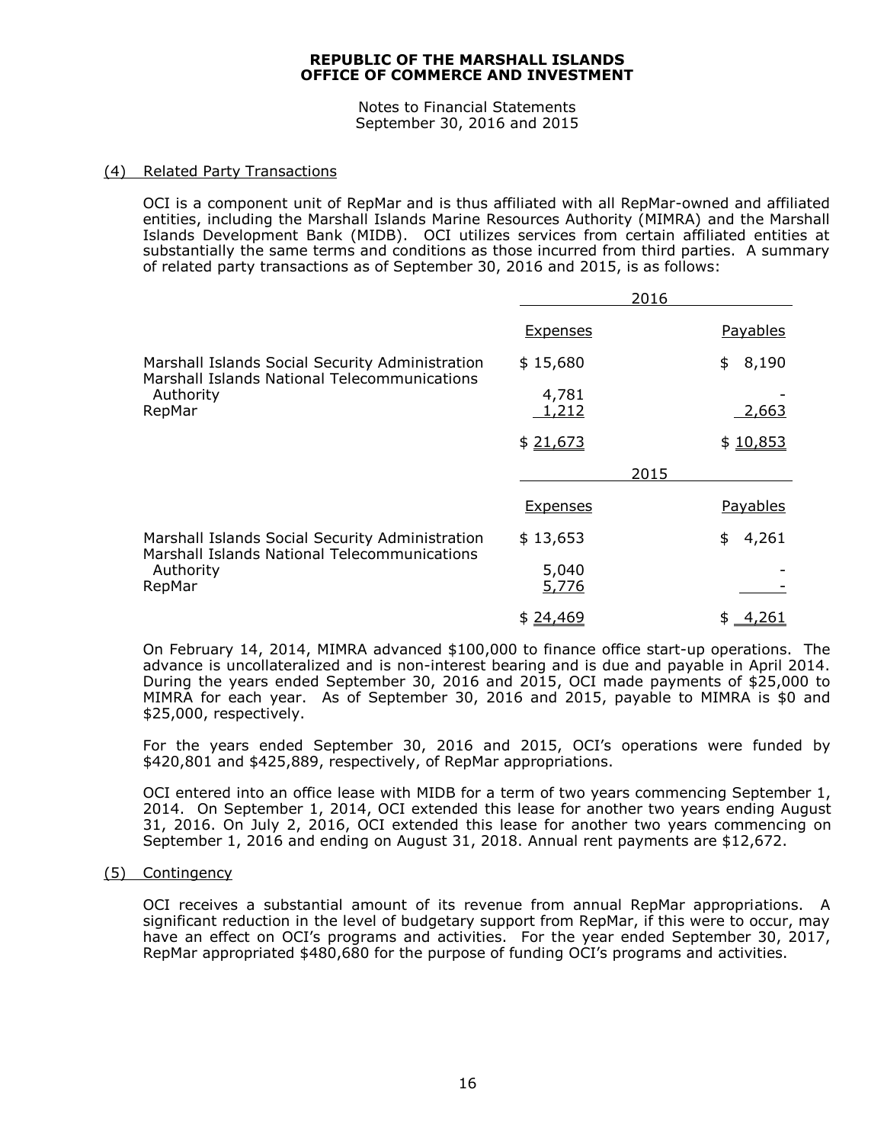Notes to Financial Statements September 30, 2016 and 2015

#### (4) Related Party Transactions

OCI is a component unit of RepMar and is thus affiliated with all RepMar-owned and affiliated entities, including the Marshall Islands Marine Resources Authority (MIMRA) and the Marshall Islands Development Bank (MIDB). OCI utilizes services from certain affiliated entities at substantially the same terms and conditions as those incurred from third parties. A summary of related party transactions as of September 30, 2016 and 2015, is as follows:

|                                                                                                 | 2016            |             |
|-------------------------------------------------------------------------------------------------|-----------------|-------------|
|                                                                                                 | <b>Expenses</b> | Payables    |
| Marshall Islands Social Security Administration<br>Marshall Islands National Telecommunications | \$15,680        | 8,190<br>\$ |
| Authority<br>RepMar                                                                             | 4,781<br>1,212  | 2,663       |
|                                                                                                 | \$21,673        | \$10,853    |
|                                                                                                 | 2015            |             |
|                                                                                                 | <b>Expenses</b> | Payables    |
| Marshall Islands Social Security Administration                                                 | \$13,653        | 4,261<br>\$ |
| Marshall Islands National Telecommunications<br>Authority<br>RepMar                             | 5,040<br>5,776  |             |
|                                                                                                 | \$24,469        | \$ 4,261    |

On February 14, 2014, MIMRA advanced \$100,000 to finance office start-up operations. The advance is uncollateralized and is non-interest bearing and is due and payable in April 2014. During the years ended September 30, 2016 and 2015, OCI made payments of \$25,000 to MIMRA for each year. As of September 30, 2016 and 2015, payable to MIMRA is \$0 and \$25,000, respectively.

For the years ended September 30, 2016 and 2015, OCI's operations were funded by \$420,801 and \$425,889, respectively, of RepMar appropriations.

OCI entered into an office lease with MIDB for a term of two years commencing September 1, 2014. On September 1, 2014, OCI extended this lease for another two years ending August 31, 2016. On July 2, 2016, OCI extended this lease for another two years commencing on September 1, 2016 and ending on August 31, 2018. Annual rent payments are \$12,672.

#### (5) Contingency

OCI receives a substantial amount of its revenue from annual RepMar appropriations. A significant reduction in the level of budgetary support from RepMar, if this were to occur, may have an effect on OCI's programs and activities. For the year ended September 30, 2017, RepMar appropriated \$480,680 for the purpose of funding OCI's programs and activities.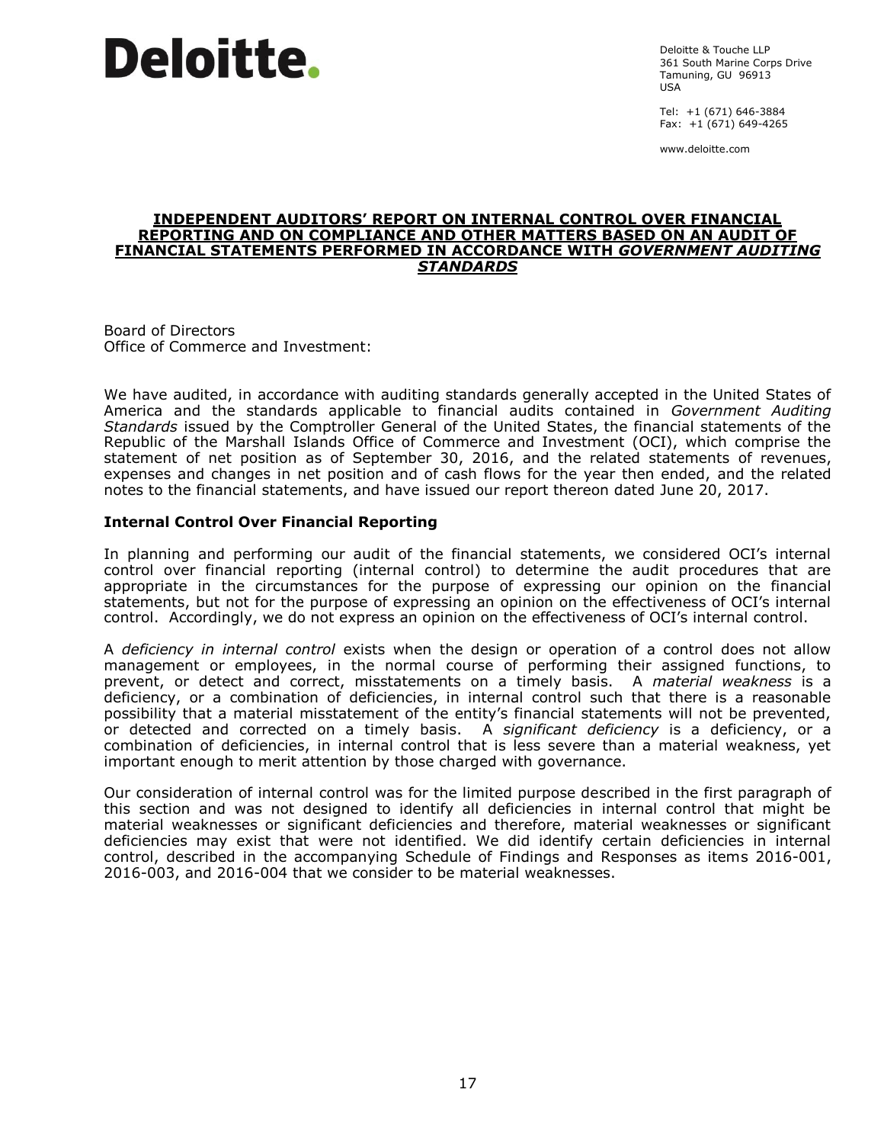# **Deloitte.**

Deloitte & Touche LLP 361 South Marine Corps Drive Tamuning, GU 96913 USA

Tel: +1 (671) 646-3884 Fax: +1 (671) 649-4265

www.deloitte.com

#### **INDEPENDENT AUDITORS' REPORT ON INTERNAL CONTROL OVER FINANCIAL REPORTING AND ON COMPLIANCE AND OTHER MATTERS BASED ON AN AUDIT OF FINANCIAL STATEMENTS PERFORMED IN ACCORDANCE WITH** *GOVERNMENT AUDITING STANDARDS*

Board of Directors Office of Commerce and Investment:

We have audited, in accordance with auditing standards generally accepted in the United States of America and the standards applicable to financial audits contained in *Government Auditing Standards* issued by the Comptroller General of the United States, the financial statements of the Republic of the Marshall Islands Office of Commerce and Investment (OCI), which comprise the statement of net position as of September 30, 2016, and the related statements of revenues, expenses and changes in net position and of cash flows for the year then ended, and the related notes to the financial statements, and have issued our report thereon dated June 20, 2017.

#### **Internal Control Over Financial Reporting**

In planning and performing our audit of the financial statements, we considered OCI's internal control over financial reporting (internal control) to determine the audit procedures that are appropriate in the circumstances for the purpose of expressing our opinion on the financial statements, but not for the purpose of expressing an opinion on the effectiveness of OCI's internal control. Accordingly, we do not express an opinion on the effectiveness of OCI's internal control.

A *deficiency in internal control* exists when the design or operation of a control does not allow management or employees, in the normal course of performing their assigned functions, to prevent, or detect and correct, misstatements on a timely basis. A *material weakness* is a deficiency, or a combination of deficiencies, in internal control such that there is a reasonable possibility that a material misstatement of the entity's financial statements will not be prevented, or detected and corrected on a timely basis. A *significant deficiency* is a deficiency, or a combination of deficiencies, in internal control that is less severe than a material weakness, yet important enough to merit attention by those charged with governance.

Our consideration of internal control was for the limited purpose described in the first paragraph of this section and was not designed to identify all deficiencies in internal control that might be material weaknesses or significant deficiencies and therefore, material weaknesses or significant deficiencies may exist that were not identified. We did identify certain deficiencies in internal control, described in the accompanying Schedule of Findings and Responses as items 2016-001, 2016-003, and 2016-004 that we consider to be material weaknesses.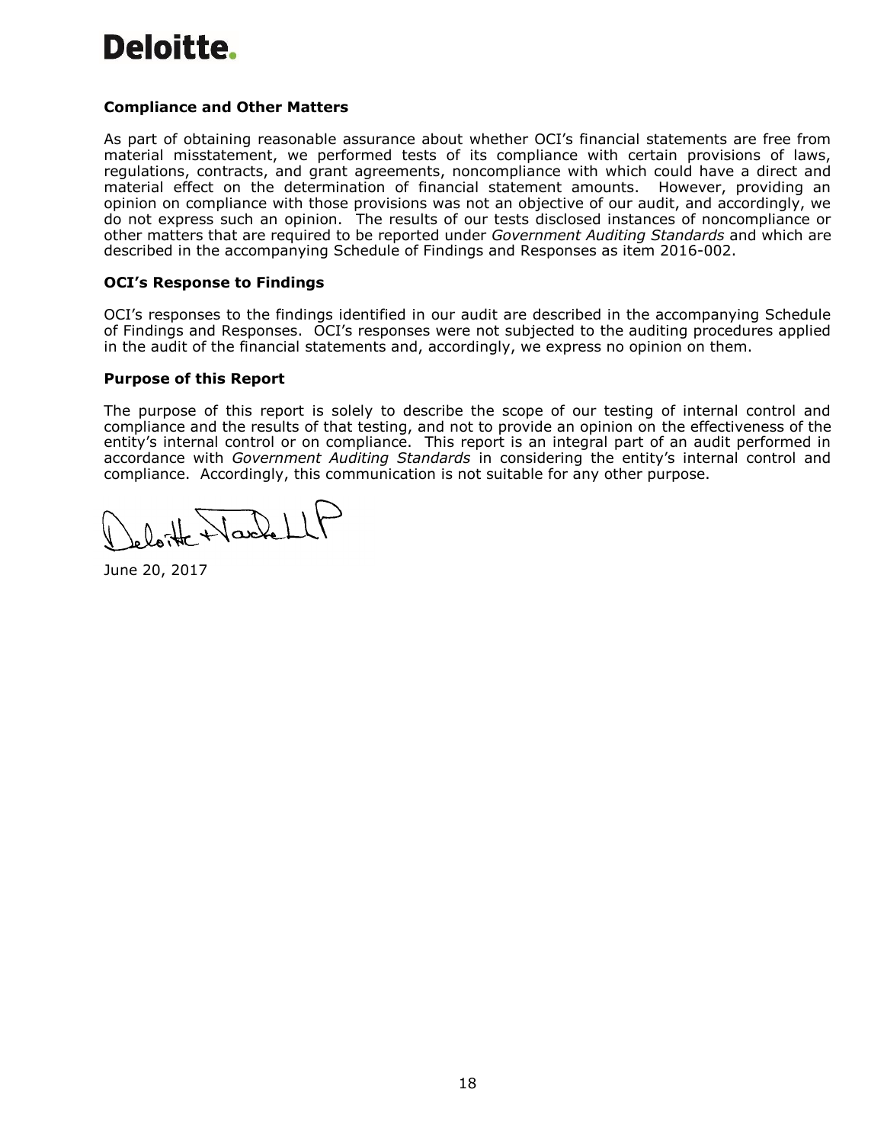# **Deloitte**

# **Compliance and Other Matters**

As part of obtaining reasonable assurance about whether OCI's financial statements are free from material misstatement, we performed tests of its compliance with certain provisions of laws, regulations, contracts, and grant agreements, noncompliance with which could have a direct and material effect on the determination of financial statement amounts. However, providing an opinion on compliance with those provisions was not an objective of our audit, and accordingly, we do not express such an opinion. The results of our tests disclosed instances of noncompliance or other matters that are required to be reported under *Government Auditing Standards* and which are described in the accompanying Schedule of Findings and Responses as item 2016-002.

# **OCI's Response to Findings**

OCI's responses to the findings identified in our audit are described in the accompanying Schedule of Findings and Responses. OCI's responses were not subjected to the auditing procedures applied in the audit of the financial statements and, accordingly, we express no opinion on them.

# **Purpose of this Report**

The purpose of this report is solely to describe the scope of our testing of internal control and compliance and the results of that testing, and not to provide an opinion on the effectiveness of the entity's internal control or on compliance. This report is an integral part of an audit performed in accordance with *Government Auditing Standards* in considering the entity's internal control and compliance. Accordingly, this communication is not suitable for any other purpose.

loite Washell

June 20, 2017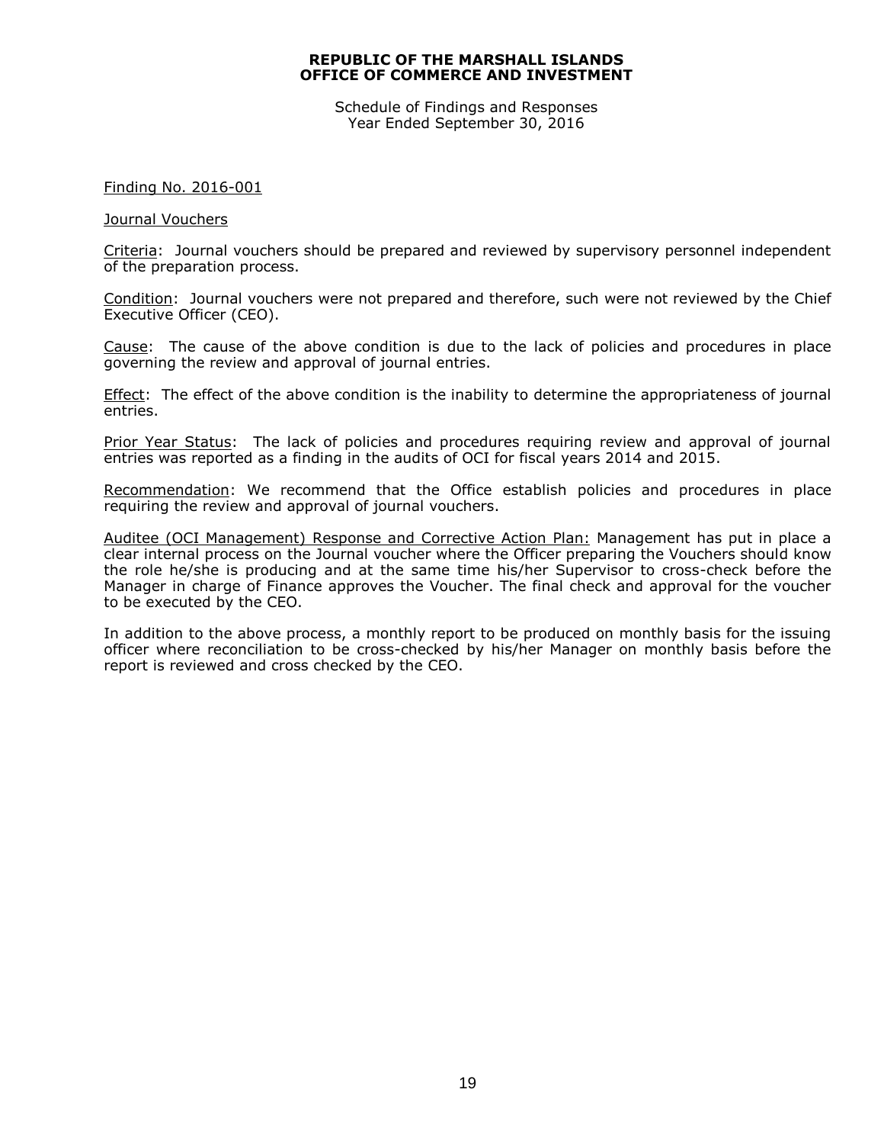Schedule of Findings and Responses Year Ended September 30, 2016

Finding No. 2016-001

#### Journal Vouchers

Criteria: Journal vouchers should be prepared and reviewed by supervisory personnel independent of the preparation process.

Condition: Journal vouchers were not prepared and therefore, such were not reviewed by the Chief Executive Officer (CEO).

Cause: The cause of the above condition is due to the lack of policies and procedures in place governing the review and approval of journal entries.

Effect: The effect of the above condition is the inability to determine the appropriateness of journal entries.

Prior Year Status: The lack of policies and procedures requiring review and approval of journal entries was reported as a finding in the audits of OCI for fiscal years 2014 and 2015.

Recommendation: We recommend that the Office establish policies and procedures in place requiring the review and approval of journal vouchers.

Auditee (OCI Management) Response and Corrective Action Plan: Management has put in place a clear internal process on the Journal voucher where the Officer preparing the Vouchers should know the role he/she is producing and at the same time his/her Supervisor to cross-check before the Manager in charge of Finance approves the Voucher. The final check and approval for the voucher to be executed by the CEO.

In addition to the above process, a monthly report to be produced on monthly basis for the issuing officer where reconciliation to be cross-checked by his/her Manager on monthly basis before the report is reviewed and cross checked by the CEO.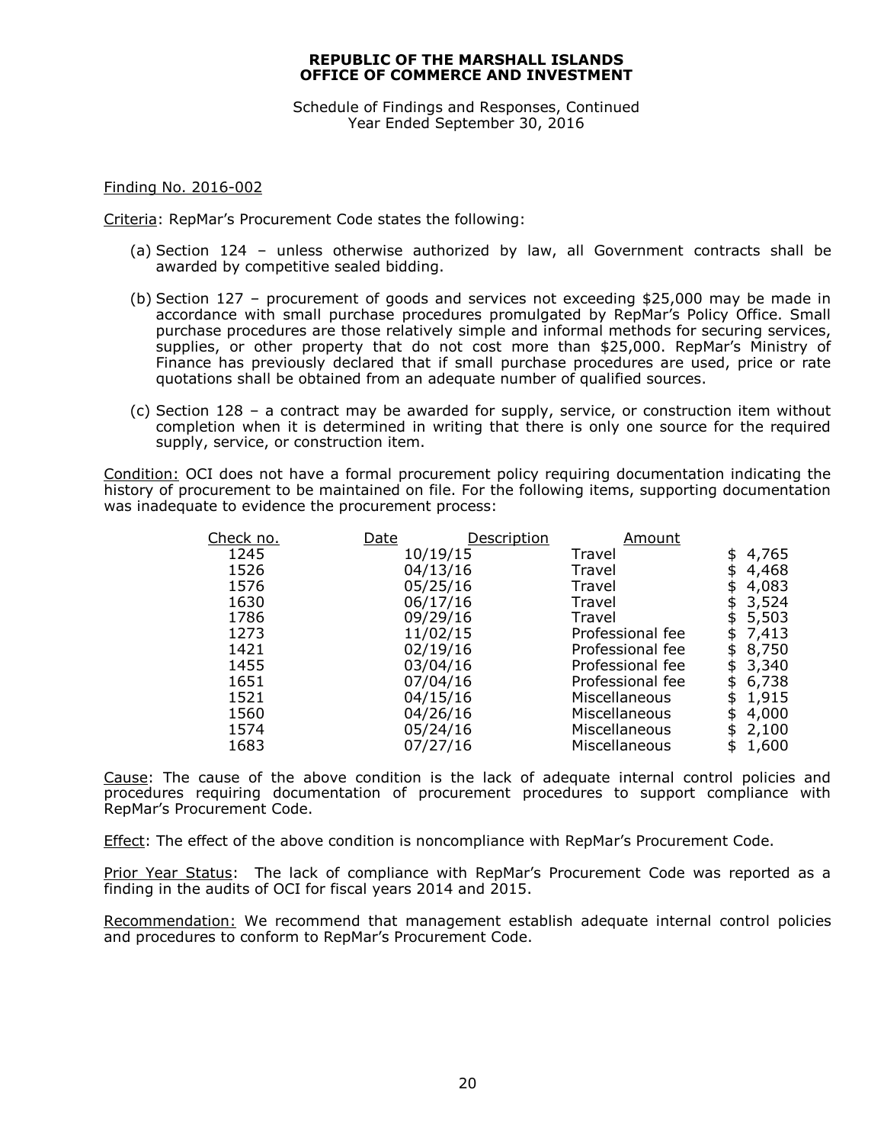Schedule of Findings and Responses, Continued Year Ended September 30, 2016

#### Finding No. 2016-002

Criteria: RepMar's Procurement Code states the following:

- (a) Section 124 unless otherwise authorized by law, all Government contracts shall be awarded by competitive sealed bidding.
- (b) Section 127 procurement of goods and services not exceeding \$25,000 may be made in accordance with small purchase procedures promulgated by RepMar's Policy Office. Small purchase procedures are those relatively simple and informal methods for securing services, supplies, or other property that do not cost more than \$25,000. RepMar's Ministry of Finance has previously declared that if small purchase procedures are used, price or rate quotations shall be obtained from an adequate number of qualified sources.
- (c) Section 128 a contract may be awarded for supply, service, or construction item without completion when it is determined in writing that there is only one source for the required supply, service, or construction item.

Condition: OCI does not have a formal procurement policy requiring documentation indicating the history of procurement to be maintained on file. For the following items, supporting documentation was inadequate to evidence the procurement process:

| Description<br>Date | Amount           |             |
|---------------------|------------------|-------------|
| 10/19/15            | Travel           | 4,765<br>\$ |
| 04/13/16            | Travel           | 4,468<br>\$ |
| 05/25/16            | Travel           | 4,083<br>\$ |
| 06/17/16            | Travel           | 3,524       |
| 09/29/16            | Travel           | 5,503<br>\$ |
| 11/02/15            | Professional fee | 7,413<br>\$ |
| 02/19/16            | Professional fee | 8,750       |
| 03/04/16            | Professional fee | 3,340<br>\$ |
| 07/04/16            | Professional fee | 6,738<br>S  |
| 04/15/16            | Miscellaneous    | 1,915<br>\$ |
| 04/26/16            | Miscellaneous    | 4,000<br>\$ |
| 05/24/16            | Miscellaneous    | 2,100<br>\$ |
| 07/27/16            | Miscellaneous    | 1,600<br>\$ |
|                     |                  |             |

Cause: The cause of the above condition is the lack of adequate internal control policies and procedures requiring documentation of procurement procedures to support compliance with RepMar's Procurement Code.

Effect: The effect of the above condition is noncompliance with RepMar's Procurement Code.

Prior Year Status: The lack of compliance with RepMar's Procurement Code was reported as a finding in the audits of OCI for fiscal years 2014 and 2015.

Recommendation: We recommend that management establish adequate internal control policies and procedures to conform to RepMar's Procurement Code.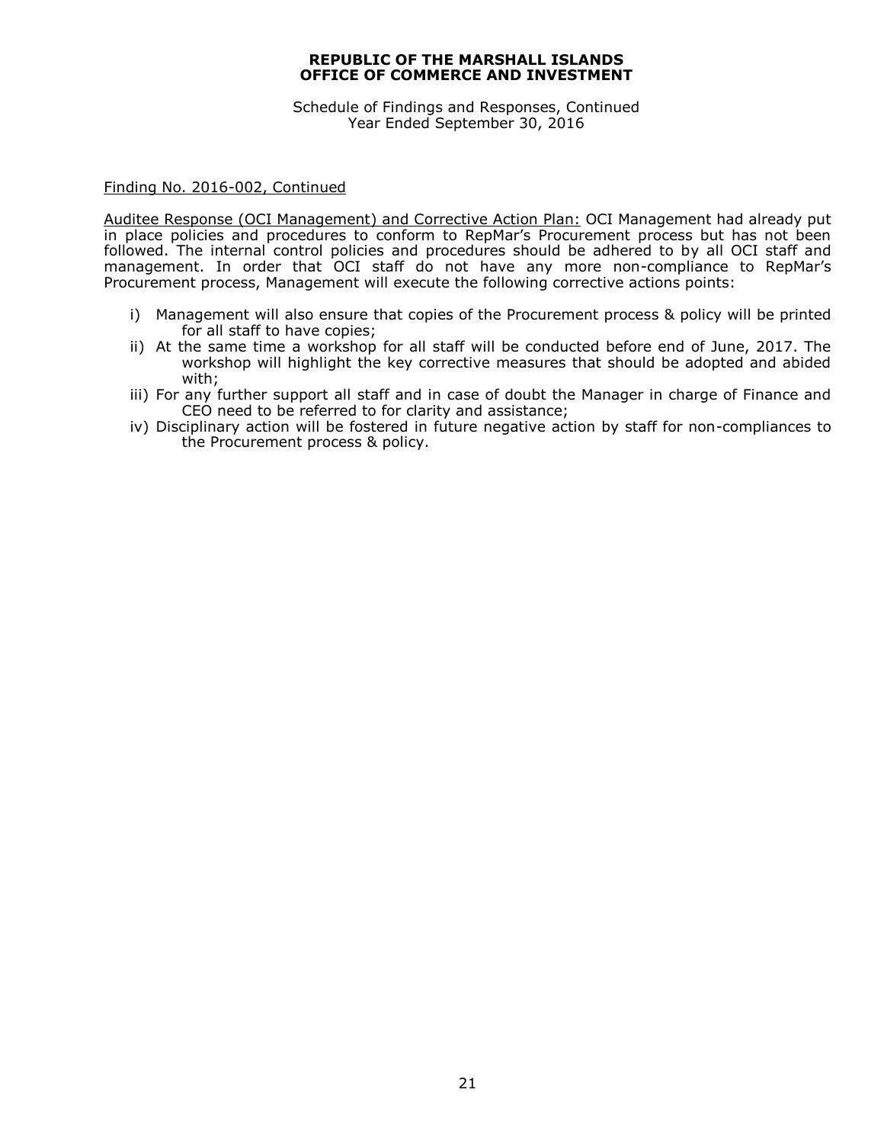Schedule of Findings and Responses, Continued Year Ended September 30, 2016

#### Finding No. 2016-002, Continued

Auditee Response (OCI Management) and Corrective Action Plan: OCI Management had already put in place policies and procedures to conform to RepMar's Procurement process but has not been followed. The internal control policies and procedures should be adhered to by all OCI staff and management. In order that OCI staff do not have any more non-compliance to RepMar's Procurement process, Management will execute the following corrective actions points:

- i) Management will also ensure that copies of the Procurement process & policy will be printed for all staff to have copies;
- ii) At the same time a workshop for all staff will be conducted before end of June, 2017. The workshop will highlight the key corrective measures that should be adopted and abided with;
- iii) For any further support all staff and in case of doubt the Manager in charge of Finance and CEO need to be referred to for clarity and assistance;
- iv) Disciplinary action will be fostered in future negative action by staff for non-compliances to the Procurement process & policy.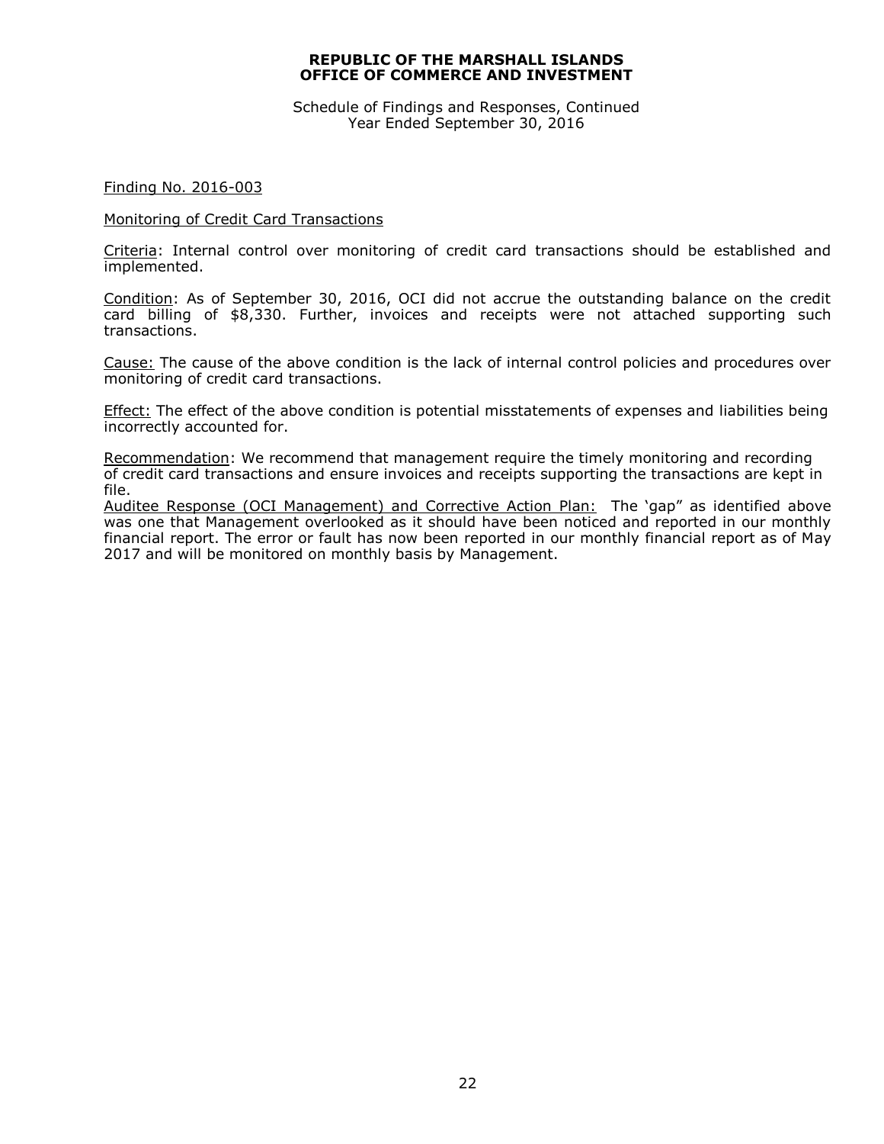Schedule of Findings and Responses, Continued Year Ended September 30, 2016

Finding No. 2016-003

#### Monitoring of Credit Card Transactions

Criteria: Internal control over monitoring of credit card transactions should be established and implemented.

Condition: As of September 30, 2016, OCI did not accrue the outstanding balance on the credit card billing of \$8,330. Further, invoices and receipts were not attached supporting such transactions.

Cause: The cause of the above condition is the lack of internal control policies and procedures over monitoring of credit card transactions.

Effect: The effect of the above condition is potential misstatements of expenses and liabilities being incorrectly accounted for.

Recommendation: We recommend that management require the timely monitoring and recording of credit card transactions and ensure invoices and receipts supporting the transactions are kept in file.

Auditee Response (OCI Management) and Corrective Action Plan: The 'gap" as identified above was one that Management overlooked as it should have been noticed and reported in our monthly financial report. The error or fault has now been reported in our monthly financial report as of May 2017 and will be monitored on monthly basis by Management.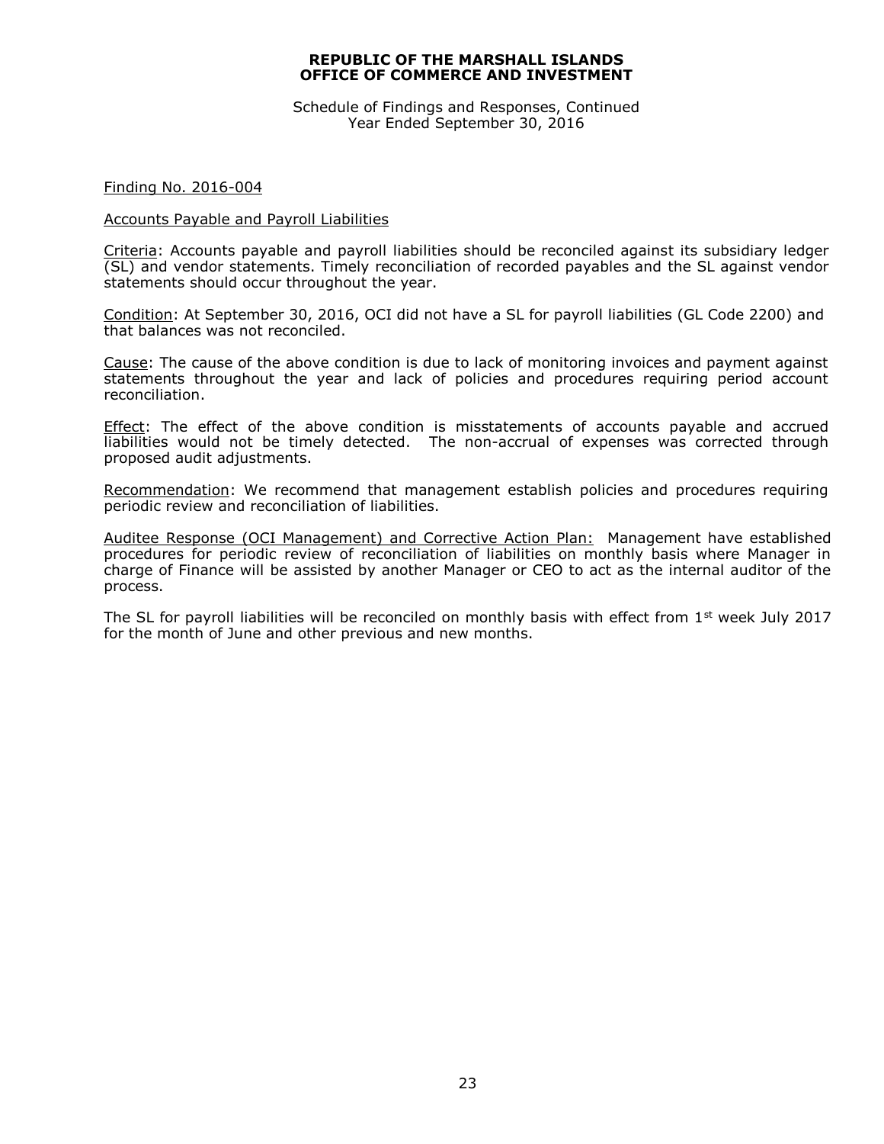Schedule of Findings and Responses, Continued Year Ended September 30, 2016

Finding No. 2016-004

#### Accounts Payable and Payroll Liabilities

Criteria: Accounts payable and payroll liabilities should be reconciled against its subsidiary ledger (SL) and vendor statements. Timely reconciliation of recorded payables and the SL against vendor statements should occur throughout the year.

Condition: At September 30, 2016, OCI did not have a SL for payroll liabilities (GL Code 2200) and that balances was not reconciled.

Cause: The cause of the above condition is due to lack of monitoring invoices and payment against statements throughout the year and lack of policies and procedures requiring period account reconciliation.

Effect: The effect of the above condition is misstatements of accounts payable and accrued liabilities would not be timely detected. The non-accrual of expenses was corrected through proposed audit adjustments.

Recommendation: We recommend that management establish policies and procedures requiring periodic review and reconciliation of liabilities.

Auditee Response (OCI Management) and Corrective Action Plan: Management have established procedures for periodic review of reconciliation of liabilities on monthly basis where Manager in charge of Finance will be assisted by another Manager or CEO to act as the internal auditor of the process.

The SL for payroll liabilities will be reconciled on monthly basis with effect from  $1<sup>st</sup>$  week July 2017 for the month of June and other previous and new months.